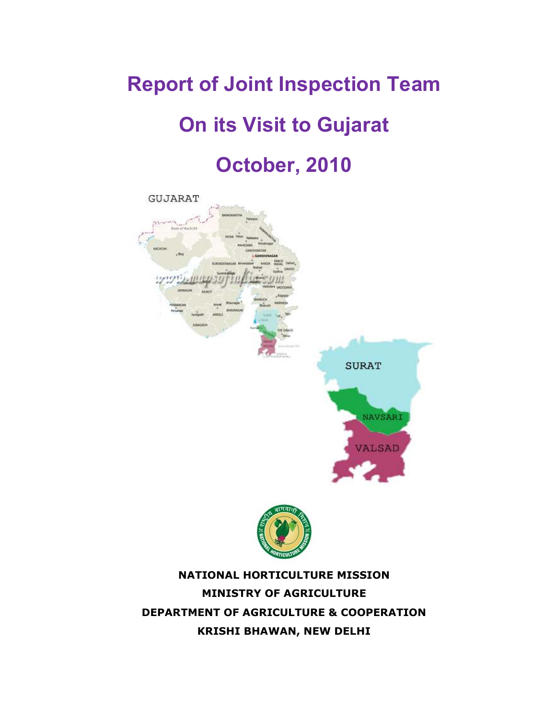# Report of Joint Inspection Team

# On its Visit to Gujarat

# October, 2010





NATIONAL HORTICULTURE MISSION MINISTRY OF AGRICULTURE DEPARTMENT OF AGRICULTURE & COOPERATION KRISHI BHAWAN, NEW DELHI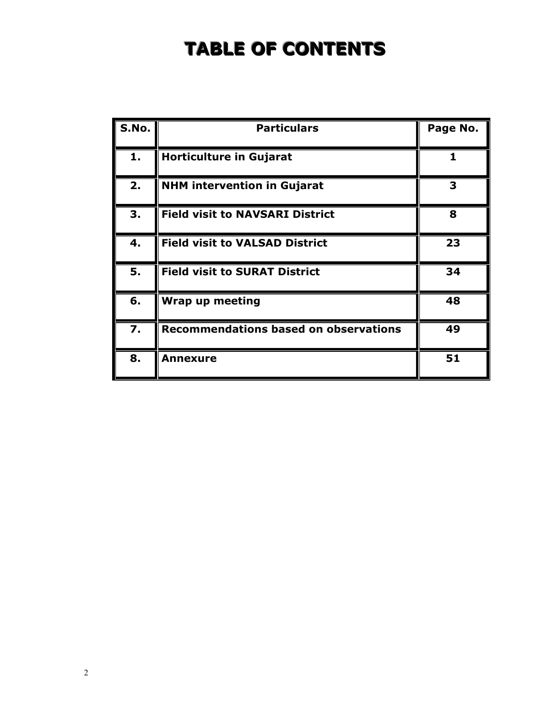# TABLE OF CONTENTS

| S.No. | <b>Particulars</b>                           | Page No. |
|-------|----------------------------------------------|----------|
| 1.    | <b>Horticulture in Gujarat</b>               | 1        |
| 2.    | <b>NHM intervention in Gujarat</b>           | З        |
| 3.    | <b>Field visit to NAVSARI District</b>       | 8        |
| 4.    | <b>Field visit to VALSAD District</b>        | 23       |
| 5.    | <b>Field visit to SURAT District</b>         | 34       |
| 6.    | Wrap up meeting                              | 48       |
| 7.    | <b>Recommendations based on observations</b> | 49       |
| 8.    | <b>Annexure</b>                              | 51       |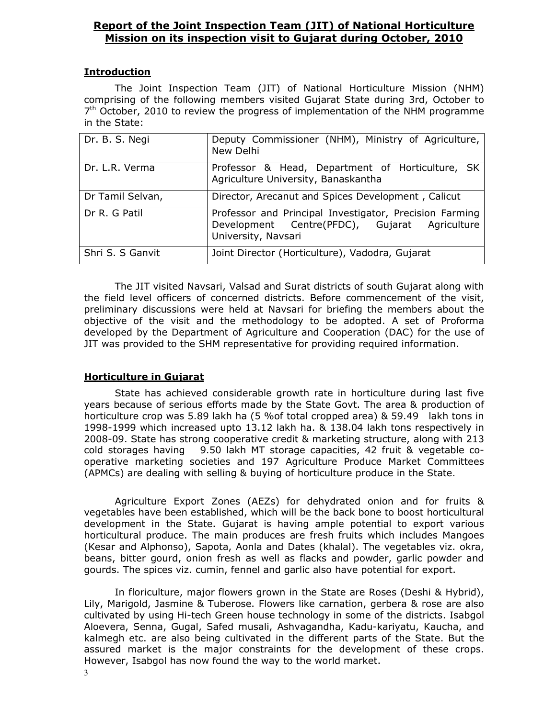# Report of the Joint Inspection Team (JIT) of National Horticulture Mission on its inspection visit to Gujarat during October, 2010

#### **Introduction**

The Joint Inspection Team (JIT) of National Horticulture Mission (NHM) comprising of the following members visited Gujarat State during 3rd, October to 7<sup>th</sup> October, 2010 to review the progress of implementation of the NHM programme in the State:

| Dr. B. S. Negi   | Deputy Commissioner (NHM), Ministry of Agriculture,<br>New Delhi                                                                |
|------------------|---------------------------------------------------------------------------------------------------------------------------------|
| Dr. L.R. Verma   | Professor & Head, Department of Horticulture, SK<br>Agriculture University, Banaskantha                                         |
| Dr Tamil Selvan, | Director, Arecanut and Spices Development, Calicut                                                                              |
| Dr R. G Patil    | Professor and Principal Investigator, Precision Farming<br>Development Centre(PFDC), Gujarat Agriculture<br>University, Navsari |
| Shri S. S Ganvit | Joint Director (Horticulture), Vadodra, Gujarat                                                                                 |

 The JIT visited Navsari, Valsad and Surat districts of south Gujarat along with the field level officers of concerned districts. Before commencement of the visit, preliminary discussions were held at Navsari for briefing the members about the objective of the visit and the methodology to be adopted. A set of Proforma developed by the Department of Agriculture and Cooperation (DAC) for the use of JIT was provided to the SHM representative for providing required information.

## Horticulture in Gujarat

State has achieved considerable growth rate in horticulture during last five years because of serious efforts made by the State Govt. The area & production of horticulture crop was 5.89 lakh ha (5 %of total cropped area) & 59.49 lakh tons in 1998-1999 which increased upto 13.12 lakh ha. & 138.04 lakh tons respectively in 2008-09. State has strong cooperative credit & marketing structure, along with 213 cold storages having 9.50 lakh MT storage capacities, 42 fruit & vegetable cooperative marketing societies and 197 Agriculture Produce Market Committees (APMCs) are dealing with selling & buying of horticulture produce in the State.

Agriculture Export Zones (AEZs) for dehydrated onion and for fruits & vegetables have been established, which will be the back bone to boost horticultural development in the State. Gujarat is having ample potential to export various horticultural produce. The main produces are fresh fruits which includes Mangoes (Kesar and Alphonso), Sapota, Aonla and Dates (khalal). The vegetables viz. okra, beans, bitter gourd, onion fresh as well as flacks and powder, garlic powder and gourds. The spices viz. cumin, fennel and garlic also have potential for export.

In floriculture, major flowers grown in the State are Roses (Deshi & Hybrid), Lily, Marigold, Jasmine & Tuberose. Flowers like carnation, gerbera & rose are also cultivated by using Hi-tech Green house technology in some of the districts. Isabgol Aloevera, Senna, Gugal, Safed musali, Ashvagandha, Kadu-kariyatu, Kaucha, and kalmegh etc. are also being cultivated in the different parts of the State. But the assured market is the major constraints for the development of these crops. However, Isabgol has now found the way to the world market.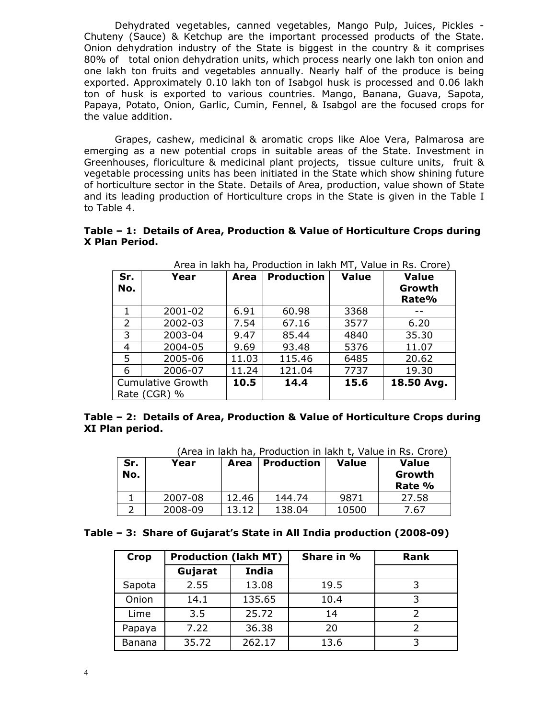Dehydrated vegetables, canned vegetables, Mango Pulp, Juices, Pickles - Chuteny (Sauce) & Ketchup are the important processed products of the State. Onion dehydration industry of the State is biggest in the country & it comprises 80% of total onion dehydration units, which process nearly one lakh ton onion and one lakh ton fruits and vegetables annually. Nearly half of the produce is being exported. Approximately 0.10 lakh ton of Isabgol husk is processed and 0.06 lakh ton of husk is exported to various countries. Mango, Banana, Guava, Sapota, Papaya, Potato, Onion, Garlic, Cumin, Fennel, & Isabgol are the focused crops for the value addition.

Grapes, cashew, medicinal & aromatic crops like Aloe Vera, Palmarosa are emerging as a new potential crops in suitable areas of the State. Investment in Greenhouses, floriculture & medicinal plant projects, tissue culture units, fruit & vegetable processing units has been initiated in the State which show shining future of horticulture sector in the State. Details of Area, production, value shown of State and its leading production of Horticulture crops in the State is given in the Table I to Table 4.

#### Table – 1: Details of Area, Production & Value of Horticulture Crops during X Plan Period.

| Sr.<br>No. | Year                                     | Area  | <b>Production</b> | <b>Value</b> | <b>Value</b><br>Growth<br>Rate% |
|------------|------------------------------------------|-------|-------------------|--------------|---------------------------------|
| 1          | 2001-02                                  | 6.91  | 60.98             | 3368         |                                 |
| 2          | 2002-03                                  | 7.54  | 67.16             | 3577         | 6.20                            |
| 3          | 2003-04                                  | 9.47  | 85.44             | 4840         | 35.30                           |
| 4          | 2004-05                                  | 9.69  | 93.48             | 5376         | 11.07                           |
| 5          | 2005-06                                  | 11.03 | 115.46            | 6485         | 20.62                           |
| 6          | 2006-07                                  | 11.24 | 121.04            | 7737         | 19.30                           |
|            | <b>Cumulative Growth</b><br>Rate (CGR) % | 10.5  | 14.4              | 15.6         | 18.50 Avg.                      |

Area in lakh ha, Production in lakh MT, Value in Rs. Crore)

#### Table – 2: Details of Area, Production & Value of Horticulture Crops during XI Plan period.

|            | (Area in lakh ha, Production in lakh t, Value in RS. Crore) |       |                   |              |                                  |  |  |
|------------|-------------------------------------------------------------|-------|-------------------|--------------|----------------------------------|--|--|
| Sr.<br>No. | Year                                                        | Area  | <b>Production</b> | <b>Value</b> | <b>Value</b><br>Growth<br>Rate % |  |  |
|            | 2007-08                                                     | 12.46 | 144.74            | 9871         | 27.58                            |  |  |
|            | 2008-09                                                     | 13.12 | 138.04            | 10500        | 7.67                             |  |  |

(Area in lakh ha, Production in lakh t, Value in Rs. Crore)

| <b>Crop</b> | <b>Production (lakh MT)</b> |        | Share in % | Rank |
|-------------|-----------------------------|--------|------------|------|
|             | Gujarat                     | India  |            |      |
| Sapota      | 2.55                        | 13.08  | 19.5       |      |
| Onion       | 14.1                        | 135.65 | 10.4       | 3    |
| Lime        | 3.5                         | 25.72  | 14         | フ    |
| Papaya      | 7.22                        | 36.38  | 20         |      |
| Banana      | 35.72                       | 262.17 | 13.6       |      |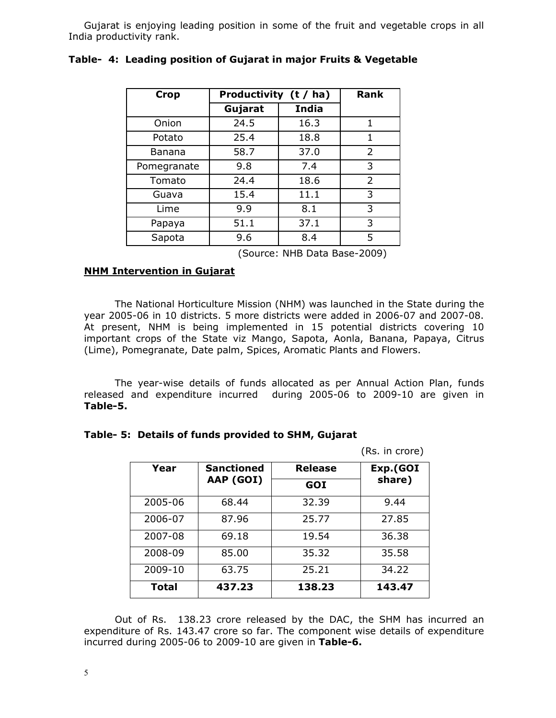Gujarat is enjoying leading position in some of the fruit and vegetable crops in all India productivity rank.

| <b>Crop</b> | Productivity (t / ha) | <b>Rank</b>  |                |
|-------------|-----------------------|--------------|----------------|
|             | Gujarat               | <b>India</b> |                |
| Onion       | 24.5                  | 16.3         | 1              |
| Potato      | 25.4                  | 18.8         | 1              |
| Banana      | 58.7                  | 37.0         | $\overline{2}$ |
| Pomegranate | 9.8                   | 7.4          | 3              |
| Tomato      | 24.4                  | 18.6         | $\overline{2}$ |
| Guava       | 15.4                  | 11.1         | 3              |
| Lime        | 9.9                   | 8.1          | 3              |
| Papaya      | 51.1                  | 37.1         | 3              |
| Sapota      | 9.6                   | 8.4          | 5              |

#### Table- 4: Leading position of Gujarat in major Fruits & Vegetable

(Source: NHB Data Base-2009)

#### NHM Intervention in Gujarat

 The National Horticulture Mission (NHM) was launched in the State during the year 2005-06 in 10 districts. 5 more districts were added in 2006-07 and 2007-08. At present, NHM is being implemented in 15 potential districts covering 10 important crops of the State viz Mango, Sapota, Aonla, Banana, Papaya, Citrus (Lime), Pomegranate, Date palm, Spices, Aromatic Plants and Flowers.

 The year-wise details of funds allocated as per Annual Action Plan, funds released and expenditure incurred during 2005-06 to 2009-10 are given in Table-5.

#### Table- 5: Details of funds provided to SHM, Gujarat

|         |                   |         | (Rs. in crore) |
|---------|-------------------|---------|----------------|
| Year    | <b>Sanctioned</b> | Release | Exp.(GOI       |
|         | AAP (GOI)         | GOI     | share)         |
| 2005-06 | 68.44             | 32.39   | 9.44           |
| 2006-07 | 87.96             | 25.77   | 27.85          |
| 2007-08 | 69.18             | 19.54   | 36.38          |
| 2008-09 | 85.00             | 35.32   | 35.58          |
| 2009-10 | 63.75             | 25.21   | 34.22          |
| Total   | 437.23            | 138.23  | 143.47         |

 Out of Rs. 138.23 crore released by the DAC, the SHM has incurred an expenditure of Rs. 143.47 crore so far. The component wise details of expenditure incurred during 2005-06 to 2009-10 are given in Table-6.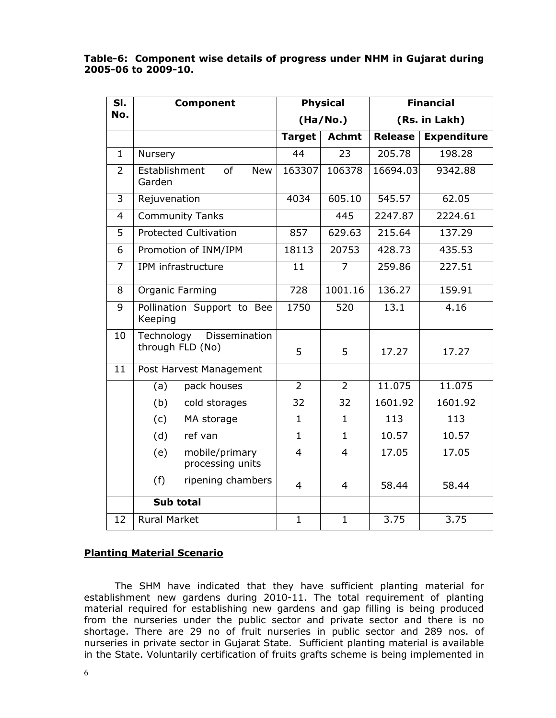#### Table-6: Component wise details of progress under NHM in Gujarat during 2005-06 to 2009-10.

| SI.            | <b>Component</b>                                |                  | <b>Physical</b> |                | <b>Financial</b>   |
|----------------|-------------------------------------------------|------------------|-----------------|----------------|--------------------|
| No.            |                                                 |                  | (Ha/No.)        |                | (Rs. in Lakh)      |
|                |                                                 | <b>Target</b>    | <b>Achmt</b>    | <b>Release</b> | <b>Expenditure</b> |
| $\mathbf{1}$   | Nursery                                         | 44               | 23              | 205.78         | 198.28             |
| $\overline{2}$ | Establishment<br>of<br><b>New</b><br>Garden     | 163307           | 106378          | 16694.03       | 9342.88            |
| 3              | Rejuvenation                                    | 4034             | 605.10          | 545.57         | 62.05              |
| $\overline{4}$ | <b>Community Tanks</b>                          |                  | 445             | 2247.87        | 2224.61            |
| 5              | <b>Protected Cultivation</b>                    | 857              | 629.63          | 215.64         | 137.29             |
| 6              | Promotion of INM/IPM                            | 18113            | 20753           | 428.73         | 435.53             |
| 7              | IPM infrastructure                              | 11               | 7               | 259.86         | 227.51             |
| 8              | Organic Farming                                 | $\overline{728}$ | 1001.16         | 136.27         | 159.91             |
| 9              | Pollination Support to Bee<br>Keeping           | 1750             | 520             | 13.1           | 4.16               |
| 10             | Technology<br>Dissemination<br>through FLD (No) | 5                | 5               | 17.27          | 17.27              |
| 11             | Post Harvest Management                         |                  |                 |                |                    |
|                | pack houses<br>(a)                              | $\overline{2}$   | $\overline{2}$  | 11.075         | 11.075             |
|                | (b)<br>cold storages                            | 32               | 32              | 1601.92        | 1601.92            |
|                | (c)<br>MA storage                               | $\mathbf{1}$     | $\mathbf{1}$    | 113            | 113                |
|                | (d)<br>ref van                                  | $\mathbf{1}$     | $\mathbf{1}$    | 10.57          | 10.57              |
|                | mobile/primary<br>(e)<br>processing units       | $\overline{4}$   | $\overline{4}$  | 17.05          | 17.05              |
|                | (f)<br>ripening chambers                        | $\overline{4}$   | $\overline{4}$  | 58.44          | 58.44              |
|                | Sub total                                       |                  |                 |                |                    |
| 12             | <b>Rural Market</b>                             | $\mathbf{1}$     | $\mathbf{1}$    | 3.75           | 3.75               |

# Planting Material Scenario

The SHM have indicated that they have sufficient planting material for establishment new gardens during 2010-11. The total requirement of planting material required for establishing new gardens and gap filling is being produced from the nurseries under the public sector and private sector and there is no shortage. There are 29 no of fruit nurseries in public sector and 289 nos. of nurseries in private sector in Gujarat State. Sufficient planting material is available in the State. Voluntarily certification of fruits grafts scheme is being implemented in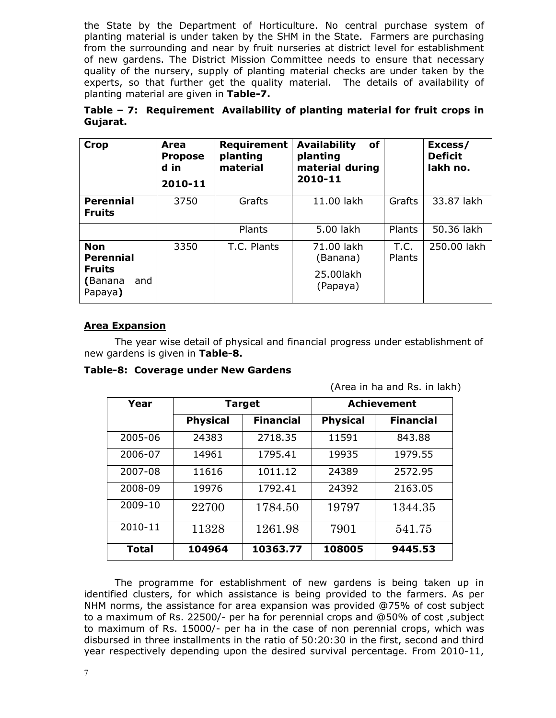the State by the Department of Horticulture. No central purchase system of planting material is under taken by the SHM in the State. Farmers are purchasing from the surrounding and near by fruit nurseries at district level for establishment of new gardens. The District Mission Committee needs to ensure that necessary quality of the nursery, supply of planting material checks are under taken by the experts, so that further get the quality material. The details of availability of planting material are given in Table-7.

|          | Table - 7: Requirement Availability of planting material for fruit crops in |  |  |  |
|----------|-----------------------------------------------------------------------------|--|--|--|
| Gujarat. |                                                                             |  |  |  |

| <b>Crop</b>                                                                  | Area<br><b>Propose</b><br>d in<br>2010-11 | Requirement<br>planting<br>material | of<br><b>Availability</b><br>planting<br>material during<br>2010-11 |                       | Excess/<br><b>Deficit</b><br>lakh no. |
|------------------------------------------------------------------------------|-------------------------------------------|-------------------------------------|---------------------------------------------------------------------|-----------------------|---------------------------------------|
| <b>Perennial</b><br><b>Fruits</b>                                            | 3750                                      | Grafts                              | 11.00 lakh                                                          | Grafts                | 33.87 lakh                            |
|                                                                              |                                           | Plants                              | 5.00 lakh                                                           | Plants                | 50.36 lakh                            |
| <b>Non</b><br><b>Perennial</b><br><b>Fruits</b><br>(Banana<br>and<br>Papaya) | 3350                                      | T.C. Plants                         | 71.00 lakh<br>(Banana)<br>25.00lakh<br>(Papaya)                     | T.C.<br><b>Plants</b> | 250.00 lakh                           |

## Area Expansion

 The year wise detail of physical and financial progress under establishment of new gardens is given in Table-8.

Table-8: Coverage under New Gardens

(Area in ha and Rs. in lakh)

| Year         | <b>Target</b>   |                  |                 | <b>Achievement</b> |
|--------------|-----------------|------------------|-----------------|--------------------|
|              | <b>Physical</b> | <b>Financial</b> | <b>Physical</b> | <b>Financial</b>   |
| 2005-06      | 24383           | 2718.35          | 11591           | 843.88             |
| 2006-07      | 14961           | 1795.41          | 19935           | 1979.55            |
| 2007-08      | 11616           | 1011.12          | 24389           | 2572.95            |
| 2008-09      | 19976           | 1792.41          | 24392           | 2163.05            |
| 2009-10      | 22700           | 1784.50          | 19797           | 1344.35            |
| 2010-11      | 11328           | 1261.98          | 7901            | 541.75             |
| <b>Total</b> | 104964          | 10363.77         | 108005          | 9445.53            |

The programme for establishment of new gardens is being taken up in identified clusters, for which assistance is being provided to the farmers. As per NHM norms, the assistance for area expansion was provided @75% of cost subject to a maximum of Rs. 22500/- per ha for perennial crops and @50% of cost ,subject to maximum of Rs. 15000/- per ha in the case of non perennial crops, which was disbursed in three installments in the ratio of 50:20:30 in the first, second and third year respectively depending upon the desired survival percentage. From 2010-11,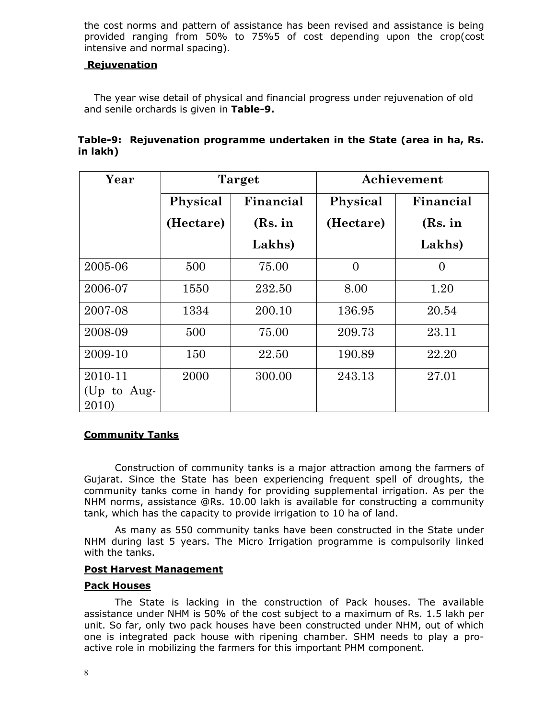the cost norms and pattern of assistance has been revised and assistance is being provided ranging from 50% to 75%5 of cost depending upon the crop(cost intensive and normal spacing).

#### Rejuvenation

 The year wise detail of physical and financial progress under rejuvenation of old and senile orchards is given in Table-9.

|          | Table-9: Rejuvenation programme undertaken in the State (area in ha, Rs. |
|----------|--------------------------------------------------------------------------|
| in lakh) |                                                                          |

| Year                            |           | Target    |                | Achievement |
|---------------------------------|-----------|-----------|----------------|-------------|
|                                 | Physical  | Financial | Physical       | Financial   |
|                                 | (Hectare) | (Rs. in   | (Hectare)      | (Rs. in     |
|                                 |           | Lakhs)    |                | Lakhs)      |
| 2005-06                         | 500       | 75.00     | $\overline{0}$ | 0           |
| 2006-07                         | 1550      | 232.50    | 8.00           | 1.20        |
| 2007-08                         | 1334      | 200.10    | 136.95         | 20.54       |
| 2008-09                         | 500       | 75.00     | 209.73         | 23.11       |
| 2009-10                         | 150       | 22.50     | 190.89         | 22.20       |
| 2010-11<br>(Up to Aug-<br>2010) | 2000      | 300.00    | 243.13         | 27.01       |

#### Community Tanks

Construction of community tanks is a major attraction among the farmers of Gujarat. Since the State has been experiencing frequent spell of droughts, the community tanks come in handy for providing supplemental irrigation. As per the NHM norms, assistance @Rs. 10.00 lakh is available for constructing a community tank, which has the capacity to provide irrigation to 10 ha of land.

As many as 550 community tanks have been constructed in the State under NHM during last 5 years. The Micro Irrigation programme is compulsorily linked with the tanks.

#### Post Harvest Management

#### Pack Houses

The State is lacking in the construction of Pack houses. The available assistance under NHM is 50% of the cost subject to a maximum of Rs. 1.5 lakh per unit. So far, only two pack houses have been constructed under NHM, out of which one is integrated pack house with ripening chamber. SHM needs to play a proactive role in mobilizing the farmers for this important PHM component.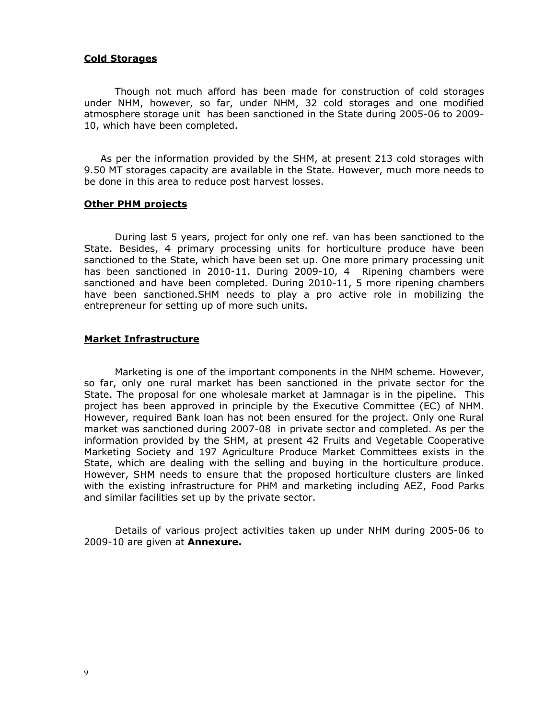#### Cold Storages

 Though not much afford has been made for construction of cold storages under NHM, however, so far, under NHM, 32 cold storages and one modified atmosphere storage unit has been sanctioned in the State during 2005-06 to 2009- 10, which have been completed.

 As per the information provided by the SHM, at present 213 cold storages with 9.50 MT storages capacity are available in the State. However, much more needs to be done in this area to reduce post harvest losses.

#### **Other PHM projects**

 During last 5 years, project for only one ref. van has been sanctioned to the State. Besides, 4 primary processing units for horticulture produce have been sanctioned to the State, which have been set up. One more primary processing unit has been sanctioned in 2010-11. During 2009-10, 4 Ripening chambers were sanctioned and have been completed. During 2010-11, 5 more ripening chambers have been sanctioned.SHM needs to play a pro active role in mobilizing the entrepreneur for setting up of more such units.

#### Market Infrastructure

 Marketing is one of the important components in the NHM scheme. However, so far, only one rural market has been sanctioned in the private sector for the State. The proposal for one wholesale market at Jamnagar is in the pipeline. This project has been approved in principle by the Executive Committee (EC) of NHM. However, required Bank loan has not been ensured for the project. Only one Rural market was sanctioned during 2007-08 in private sector and completed. As per the information provided by the SHM, at present 42 Fruits and Vegetable Cooperative Marketing Society and 197 Agriculture Produce Market Committees exists in the State, which are dealing with the selling and buying in the horticulture produce. However, SHM needs to ensure that the proposed horticulture clusters are linked with the existing infrastructure for PHM and marketing including AEZ, Food Parks and similar facilities set up by the private sector.

 Details of various project activities taken up under NHM during 2005-06 to 2009-10 are given at **Annexure.**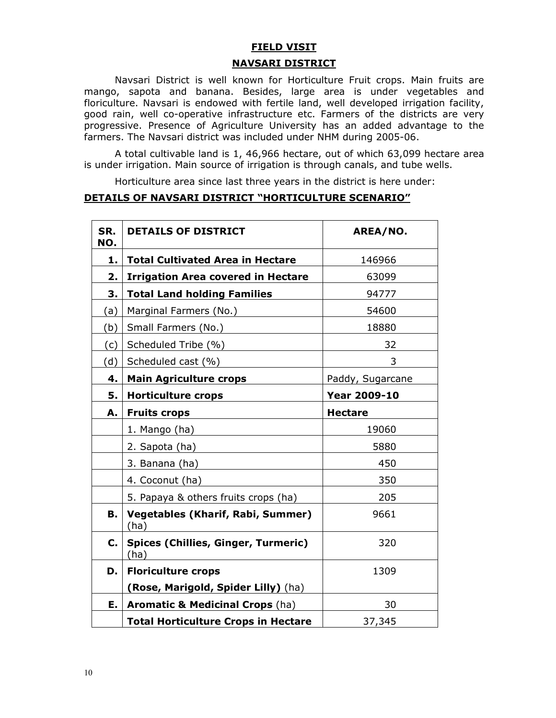# FIELD VISIT NAVSARI DISTRICT

Navsari District is well known for Horticulture Fruit crops. Main fruits are mango, sapota and banana. Besides, large area is under vegetables and floriculture. Navsari is endowed with fertile land, well developed irrigation facility, good rain, well co-operative infrastructure etc. Farmers of the districts are very progressive. Presence of Agriculture University has an added advantage to the farmers. The Navsari district was included under NHM during 2005-06.

 A total cultivable land is 1, 46,966 hectare, out of which 63,099 hectare area is under irrigation. Main source of irrigation is through canals, and tube wells.

Horticulture area since last three years in the district is here under:

#### DETAILS OF NAVSARI DISTRICT "HORTICULTURE SCENARIO"

| SR.<br>NO. | <b>DETAILS OF DISTRICT</b>                         | AREA/NO.            |
|------------|----------------------------------------------------|---------------------|
| 1.         | <b>Total Cultivated Area in Hectare</b>            | 146966              |
| 2.         | <b>Irrigation Area covered in Hectare</b>          | 63099               |
| З.         | <b>Total Land holding Families</b>                 | 94777               |
| (a)        | Marginal Farmers (No.)                             | 54600               |
| (b)        | Small Farmers (No.)                                | 18880               |
| (c)        | Scheduled Tribe (%)                                | 32                  |
| (d)        | Scheduled cast (%)                                 | 3                   |
| 4.         | <b>Main Agriculture crops</b>                      | Paddy, Sugarcane    |
| 5.         | <b>Horticulture crops</b>                          | <b>Year 2009-10</b> |
| А.         | <b>Fruits crops</b>                                | <b>Hectare</b>      |
|            | 1. Mango (ha)                                      | 19060               |
|            | 2. Sapota (ha)                                     | 5880                |
|            | 3. Banana (ha)                                     | 450                 |
|            | 4. Coconut (ha)                                    | 350                 |
|            | 5. Papaya & others fruits crops (ha)               | 205                 |
| В.         | <b>Vegetables (Kharif, Rabi, Summer)</b><br>(ha)   | 9661                |
| C.         | <b>Spices (Chillies, Ginger, Turmeric)</b><br>(ha) | 320                 |
| D.         | <b>Floriculture crops</b>                          | 1309                |
|            | (Rose, Marigold, Spider Lilly) (ha)                |                     |
| Е.         | <b>Aromatic &amp; Medicinal Crops (ha)</b>         | 30                  |
|            | <b>Total Horticulture Crops in Hectare</b>         | 37,345              |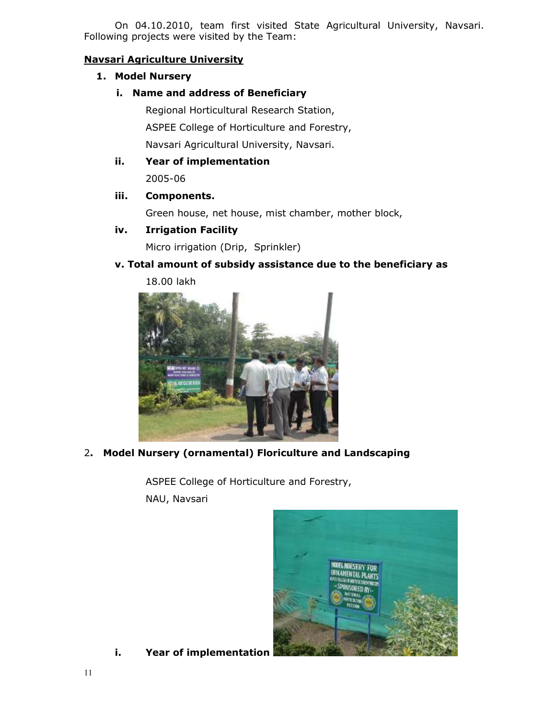On 04.10.2010, team first visited State Agricultural University, Navsari. Following projects were visited by the Team:

# Navsari Agriculture University

# 1. Model Nursery

### i. Name and address of Beneficiary

Regional Horticultural Research Station, ASPEE College of Horticulture and Forestry, Navsari Agricultural University, Navsari.

# ii. Year of implementation

2005-06

## iii. Components.

Green house, net house, mist chamber, mother block,

## iv. Irrigation Facility

Micro irrigation (Drip, Sprinkler)

# v. Total amount of subsidy assistance due to the beneficiary as

18.00 lakh



2. Model Nursery (ornamental) Floriculture and Landscaping

ASPEE College of Horticulture and Forestry, NAU, Navsari



i. Year of implementation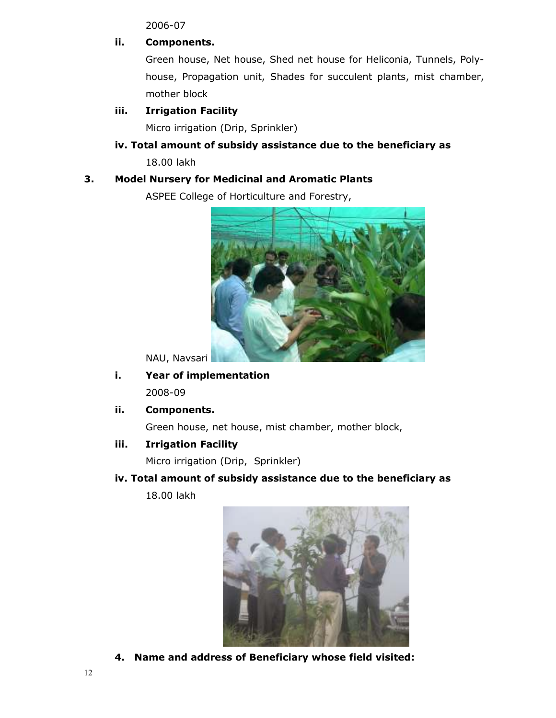2006-07

# ii. Components.

 Green house, Net house, Shed net house for Heliconia, Tunnels, Polyhouse, Propagation unit, Shades for succulent plants, mist chamber, mother block

# iii. Irrigation Facility

Micro irrigation (Drip, Sprinkler)

# iv. Total amount of subsidy assistance due to the beneficiary as 18.00 lakh

# 3. Model Nursery for Medicinal and Aromatic Plants

ASPEE College of Horticulture and Forestry,



NAU, Navsari

- i. Year of implementation 2008-09
- ii. Components.

Green house, net house, mist chamber, mother block,

iii. Irrigation Facility

Micro irrigation (Drip, Sprinkler)

iv. Total amount of subsidy assistance due to the beneficiary as

18.00 lakh



4. Name and address of Beneficiary whose field visited: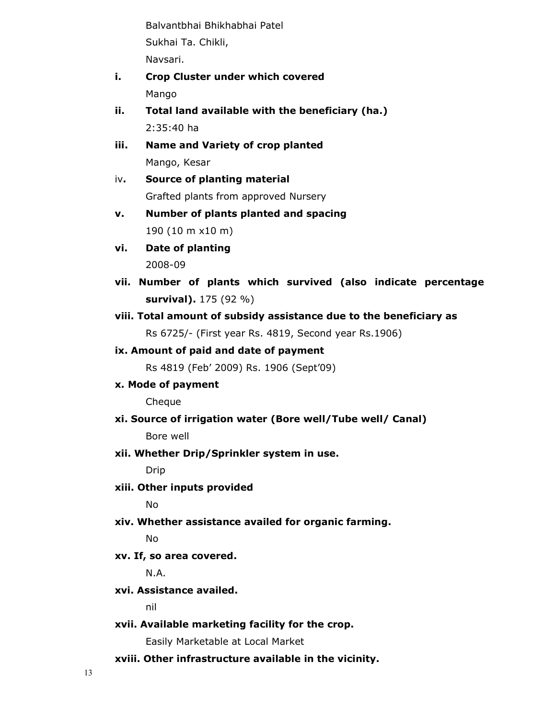Balvantbhai Bhikhabhai Patel Sukhai Ta. Chikli, Navsari.

- i. Crop Cluster under which covered Mango
- ii. Total land available with the beneficiary (ha.) 2:35:40 ha
- iii. Name and Variety of crop planted Mango, Kesar
- iv. Source of planting material Grafted plants from approved Nursery
- v. Number of plants planted and spacing 190 (10 m x10 m)
- vi. Date of planting 2008-09
- vii. Number of plants which survived (also indicate percentage survival). 175 (92 %)
- viii. Total amount of subsidy assistance due to the beneficiary as Rs 6725/- (First year Rs. 4819, Second year Rs.1906)

# ix. Amount of paid and date of payment

Rs 4819 (Feb' 2009) Rs. 1906 (Sept'09)

x. Mode of payment

Cheque

xi. Source of irrigation water (Bore well/Tube well/ Canal)

Bore well

xii. Whether Drip/Sprinkler system in use.

Drip

xiii. Other inputs provided

No

xiv. Whether assistance availed for organic farming.

No

xv. If, so area covered.

N.A.

xvi. Assistance availed.

nil

xvii. Available marketing facility for the crop.

Easily Marketable at Local Market

xviii. Other infrastructure available in the vicinity.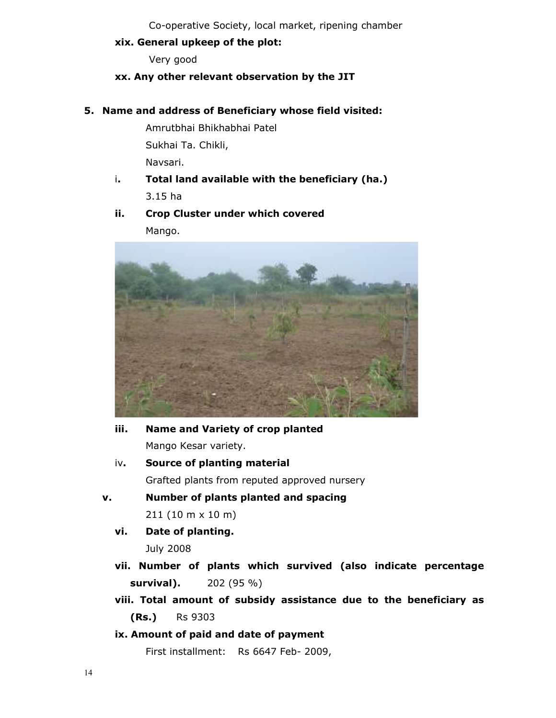Co-operative Society, local market, ripening chamber

## xix. General upkeep of the plot:

Very good

# xx. Any other relevant observation by the JIT

## 5. Name and address of Beneficiary whose field visited:

Amrutbhai Bhikhabhai Patel Sukhai Ta. Chikli, Navsari.

 i. Total land available with the beneficiary (ha.) 3.15 ha

# ii. Crop Cluster under which covered Mango.



- iii. Name and Variety of crop planted Mango Kesar variety.
- iv. Source of planting material Grafted plants from reputed approved nursery
- v. Number of plants planted and spacing 211 (10 m x 10 m)
	- vi. Date of planting.

July 2008

- vii. Number of plants which survived (also indicate percentage survival). 202 (95 %)
- viii. Total amount of subsidy assistance due to the beneficiary as (Rs.) Rs 9303

# ix. Amount of paid and date of payment

First installment: Rs 6647 Feb- 2009,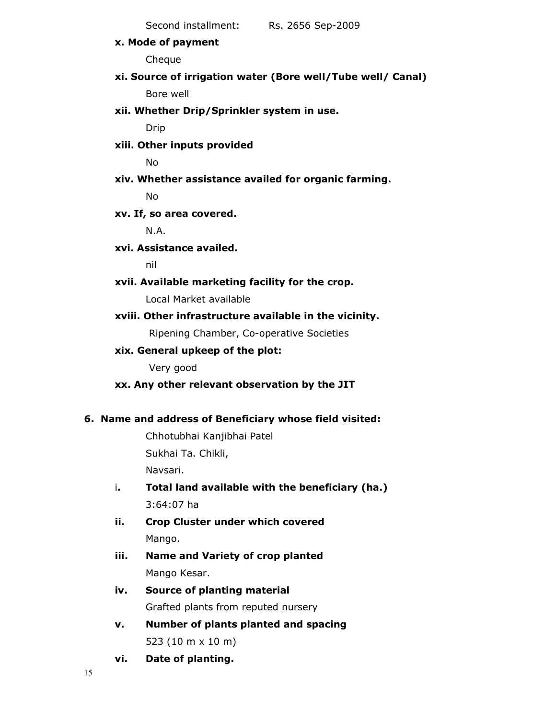Second installment: Rs. 2656 Sep-2009

x. Mode of payment

Cheque

xi. Source of irrigation water (Bore well/Tube well/ Canal)

Bore well

xii. Whether Drip/Sprinkler system in use.

Drip

xiii. Other inputs provided

No

xiv. Whether assistance availed for organic farming.

No

## xv. If, so area covered.

N.A.

## xvi. Assistance availed.

nil

xvii. Available marketing facility for the crop.

Local Market available

## xviii. Other infrastructure available in the vicinity.

Ripening Chamber, Co-operative Societies

## xix. General upkeep of the plot:

Very good

## xx. Any other relevant observation by the JIT

## 6. Name and address of Beneficiary whose field visited:

Chhotubhai Kanjibhai Patel Sukhai Ta. Chikli, Navsari.

- i. Total land available with the beneficiary (ha.) 3:64:07 ha
- ii. Crop Cluster under which covered Mango.
- iii. Name and Variety of crop planted Mango Kesar.
- iv. Source of planting material Grafted plants from reputed nursery
- v. Number of plants planted and spacing 523 (10 m x 10 m)
- vi. Date of planting.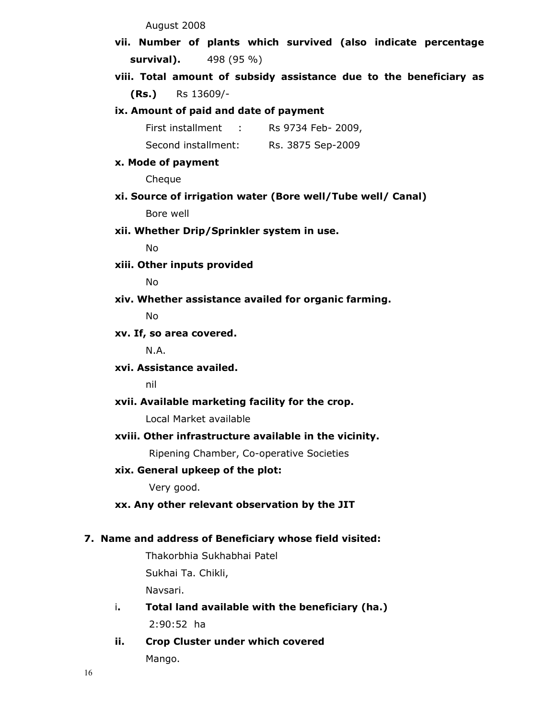August 2008

vii. Number of plants which survived (also indicate percentage survival). 498 (95 %)

viii. Total amount of subsidy assistance due to the beneficiary as (Rs.) Rs 13609/-

ix. Amount of paid and date of payment

| First installment   | Rs 9734 Feb- 2009, |
|---------------------|--------------------|
| Second installment: | Rs. 3875 Sep-2009  |

#### x. Mode of payment

Cheque

xi. Source of irrigation water (Bore well/Tube well/ Canal)

Bore well

xii. Whether Drip/Sprinkler system in use.

No

xiii. Other inputs provided

No

xiv. Whether assistance availed for organic farming.

No

#### xv. If, so area covered.

N.A.

xvi. Assistance availed.

nil

#### xvii. Available marketing facility for the crop.

Local Market available

#### xviii. Other infrastructure available in the vicinity.

Ripening Chamber, Co-operative Societies

## xix. General upkeep of the plot:

Very good.

## xx. Any other relevant observation by the JIT

#### 7. Name and address of Beneficiary whose field visited:

Thakorbhia Sukhabhai Patel Sukhai Ta. Chikli, Navsari.

- i. Total land available with the beneficiary (ha.) 2:90:52 ha
- ii. Crop Cluster under which covered Mango.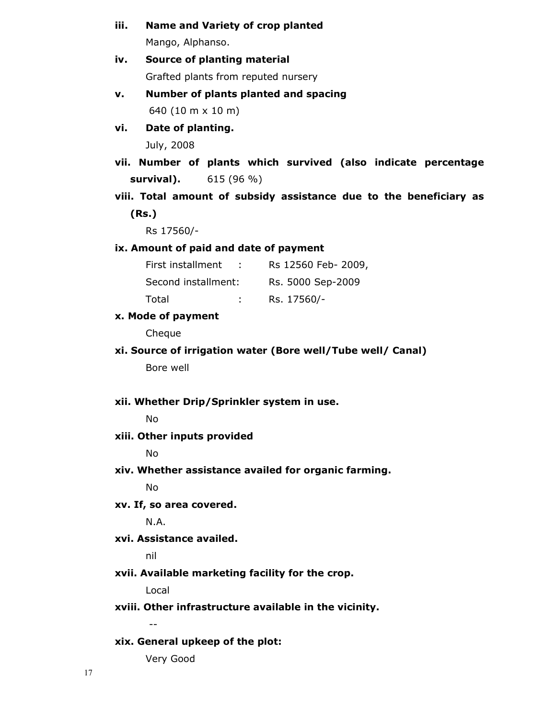| iii. | <b>Name and Variety of crop planted</b>                            |
|------|--------------------------------------------------------------------|
|      | Mango, Alphanso.                                                   |
| iv.  | Source of planting material                                        |
|      | Grafted plants from reputed nursery                                |
| v.   | Number of plants planted and spacing                               |
|      | 640 (10 m x 10 m)                                                  |
| vi.  | Date of planting.                                                  |
|      | July, 2008                                                         |
|      | vii. Number of plants which survived (also indicate percentage     |
|      | 615 (96 %)<br>survival).                                           |
|      | viii. Total amount of subsidy assistance due to the beneficiary as |
|      | (Rs.)                                                              |
|      | Rs 17560/-                                                         |
|      | ix. Amount of paid and date of payment                             |
|      | First installment : Rs 12560 Feb- 2009,                            |
|      | Second installment:<br>Rs. 5000 Sep-2009                           |
|      | Total<br>: Rs. $17560/-$                                           |
|      | x. Mode of payment                                                 |
|      | Cheque                                                             |
|      | xi. Source of irrigation water (Bore well/Tube well/ Canal)        |
|      | Bore well                                                          |
|      | xii. Whether Drip/Sprinkler system in use.                         |
|      | <b>No</b>                                                          |
|      | xiii. Other inputs provided                                        |
|      | No                                                                 |
|      | xiv. Whether assistance availed for organic farming.               |
|      | <b>No</b>                                                          |
|      | xv. If, so area covered.                                           |
|      | N.A.                                                               |
|      | xvi. Assistance availed.                                           |
|      | nil                                                                |
|      | xvii. Available marketing facility for the crop.                   |
|      | Local                                                              |
|      | xviii. Other infrastructure available in the vicinity.             |
|      | $- -$                                                              |
|      | xix. General upkeep of the plot:                                   |
|      | Very Good                                                          |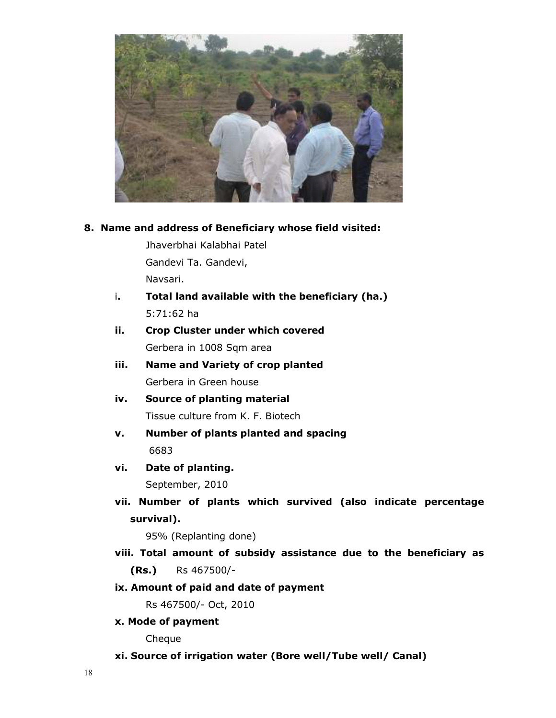

## 8. Name and address of Beneficiary whose field visited:

Jhaverbhai Kalabhai Patel Gandevi Ta. Gandevi, Navsari.

- i. Total land available with the beneficiary (ha.) 5:71:62 ha
- ii. Crop Cluster under which covered Gerbera in 1008 Sqm area
- iii. Name and Variety of crop planted Gerbera in Green house
- iv. Source of planting material Tissue culture from K. F. Biotech
- v. Number of plants planted and spacing 6683
- vi. Date of planting.

September, 2010

vii. Number of plants which survived (also indicate percentage survival).

95% (Replanting done)

viii. Total amount of subsidy assistance due to the beneficiary as (Rs.) Rs 467500/-

# ix. Amount of paid and date of payment

Rs 467500/- Oct, 2010

x. Mode of payment

Cheque

xi. Source of irrigation water (Bore well/Tube well/ Canal)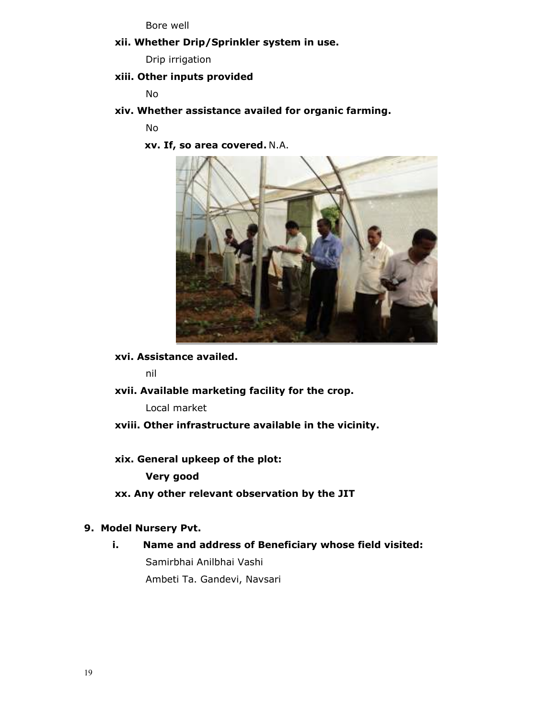Bore well

xii. Whether Drip/Sprinkler system in use.

Drip irrigation

#### xiii. Other inputs provided

No

xiv. Whether assistance availed for organic farming.

No

xv. If, so area covered. N.A.



xvi. Assistance availed.

nil

xvii. Available marketing facility for the crop.

Local market

- xviii. Other infrastructure available in the vicinity.
- xix. General upkeep of the plot:

Very good

xx. Any other relevant observation by the JIT

## 9. Model Nursery Pvt.

i. Name and address of Beneficiary whose field visited: Samirbhai Anilbhai Vashi Ambeti Ta. Gandevi, Navsari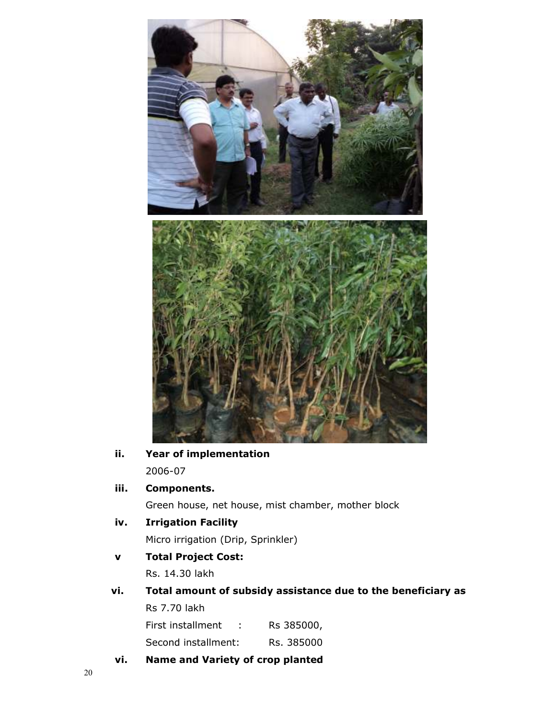

# ii. Year of implementation 2006-07

# iii. Components.

Green house, net house, mist chamber, mother block

# iv. Irrigation Facility

Micro irrigation (Drip, Sprinkler)

# v Total Project Cost:

Rs. 14.30 lakh

vi. Total amount of subsidy assistance due to the beneficiary as Rs 7.70 lakh

First installment : Rs 385000,

Second installment: Rs. 385000

vi. Name and Variety of crop planted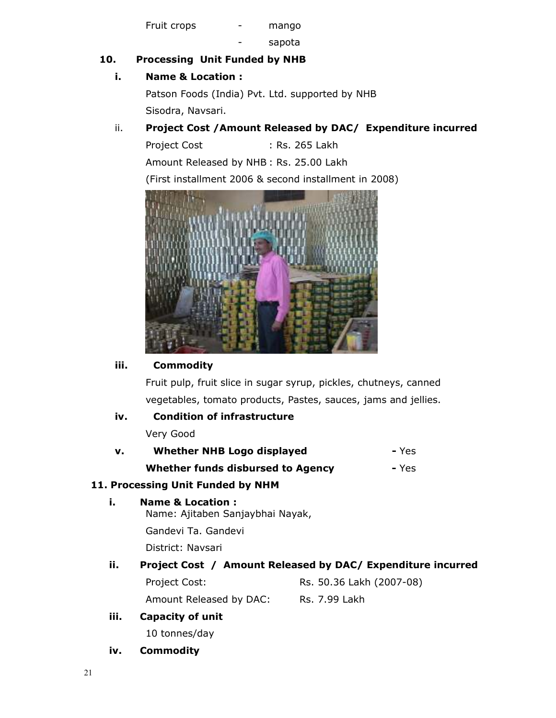Fruit crops - mango

sapota

# 10. Processing Unit Funded by NHB

# i. Name & Location :

Patson Foods (India) Pvt. Ltd. supported by NHB Sisodra, Navsari.

# ii. Project Cost /Amount Released by DAC/ Expenditure incurred

Project Cost : Rs. 265 Lakh Amount Released by NHB : Rs. 25.00 Lakh (First installment 2006 & second installment in 2008)



# iii. Commodity

Fruit pulp, fruit slice in sugar syrup, pickles, chutneys, canned vegetables, tomato products, Pastes, sauces, jams and jellies.

# iv. Condition of infrastructure

Very Good

| v. | <b>Whether NHB Logo displayed</b> | - Yes |
|----|-----------------------------------|-------|
|    |                                   |       |

Whether funds disbursed to Agency - Yes

# 11. Processing Unit Funded by NHM

i. Name & Location : Name: Ajitaben Sanjaybhai Nayak, Gandevi Ta. Gandevi

District: Navsari

# ii. Project Cost / Amount Released by DAC/ Expenditure incurred

| Project Cost:           | Rs. 50.36 Lakh (2007-08) |
|-------------------------|--------------------------|
| Amount Released by DAC: | Rs. 7.99 Lakh            |

iii. Capacity of unit

10 tonnes/day

iv. Commodity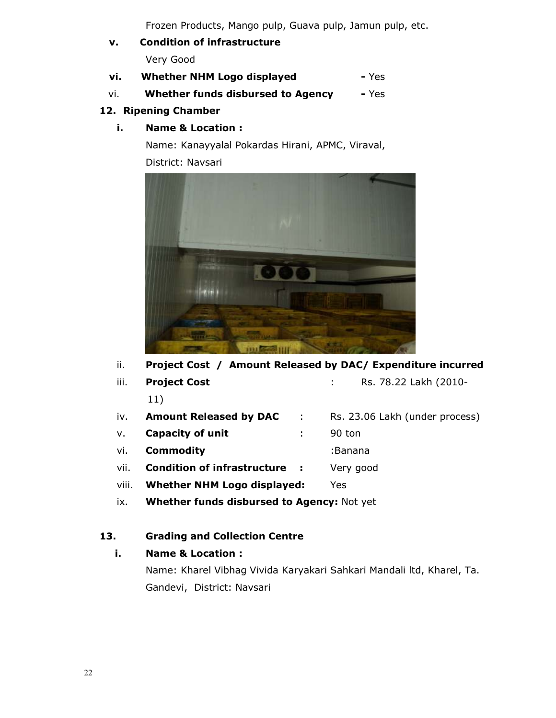Frozen Products, Mango pulp, Guava pulp, Jamun pulp, etc.

- v. Condition of infrastructure Very Good
- vi. Whether NHM Logo displayed Yes
- vi. Whether funds disbursed to Agency Yes

# 12. Ripening Chamber

i. Name & Location :

Name: Kanayyalal Pokardas Hirani, APMC, Viraval, District: Navsari



ii. Project Cost / Amount Released by DAC/ Expenditure incurred

iii. Project Cost . Rs. 78.22 Lakh (2010-

|      | 11)                           |            |                                |
|------|-------------------------------|------------|--------------------------------|
| iv.  | <b>Amount Released by DAC</b> | $\sim 100$ | Rs. 23.06 Lakh (under process) |
| V.   | <b>Capacity of unit</b>       |            | 90 ton                         |
| vi.  | <b>Commodity</b>              |            | :Banana                        |
| vii. | Condition of infrastructure : |            | Very good                      |

viii. Whether NHM Logo displayed: Yes

ix. Whether funds disbursed to Agency: Not yet

# 13. Grading and Collection Centre

# i. Name & Location :

Name: Kharel Vibhag Vivida Karyakari Sahkari Mandali ltd, Kharel, Ta. Gandevi, District: Navsari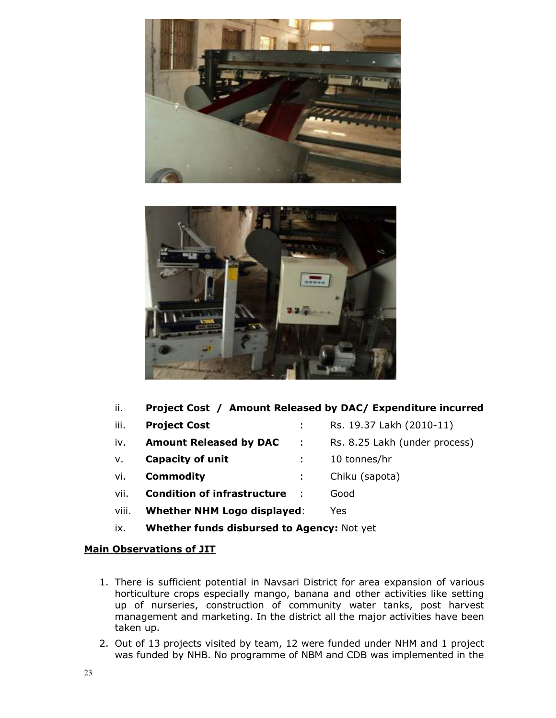



|  |  |  |  |  | Project Cost / Amount Released by DAC/ Expenditure incurred |  |
|--|--|--|--|--|-------------------------------------------------------------|--|
|--|--|--|--|--|-------------------------------------------------------------|--|

- iii. **Project Cost** : Rs. 19.37 Lakh (2010-11) iv. **Amount Released by DAC** : Rs. 8.25 Lakh (under process)
- v. **Capacity of unit** the state of the state of the state of the state of the state of the state of the state of the state of the state of the state of the state of the state of the state of the state of the state of the s
- vi. **Commodity commodity chiku** (sapota)
- vii. **Condition of infrastructure** : Good
- viii. Whether NHM Logo displayed: Yes
- ix. Whether funds disbursed to Agency: Not yet

# Main Observations of JIT

- 1. There is sufficient potential in Navsari District for area expansion of various horticulture crops especially mango, banana and other activities like setting up of nurseries, construction of community water tanks, post harvest management and marketing. In the district all the major activities have been taken up.
- 2. Out of 13 projects visited by team, 12 were funded under NHM and 1 project was funded by NHB. No programme of NBM and CDB was implemented in the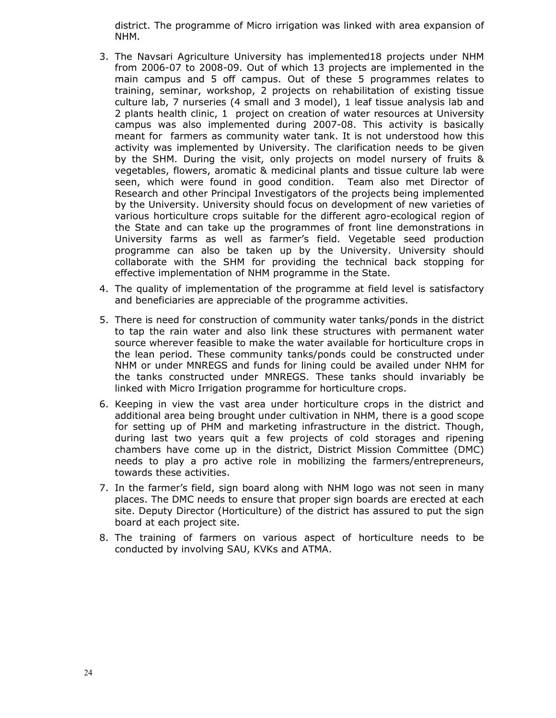district. The programme of Micro irrigation was linked with area expansion of NHM.

- 3. The Navsari Agriculture University has implemented18 projects under NHM from 2006-07 to 2008-09. Out of which 13 projects are implemented in the main campus and 5 off campus. Out of these 5 programmes relates to training, seminar, workshop, 2 projects on rehabilitation of existing tissue culture lab, 7 nurseries (4 small and 3 model), 1 leaf tissue analysis lab and 2 plants health clinic, 1 project on creation of water resources at University campus was also implemented during 2007-08. This activity is basically meant for farmers as community water tank. It is not understood how this activity was implemented by University. The clarification needs to be given by the SHM. During the visit, only projects on model nursery of fruits & vegetables, flowers, aromatic & medicinal plants and tissue culture lab were seen, which were found in good condition. Team also met Director of Research and other Principal Investigators of the projects being implemented by the University. University should focus on development of new varieties of various horticulture crops suitable for the different agro-ecological region of the State and can take up the programmes of front line demonstrations in University farms as well as farmer's field. Vegetable seed production programme can also be taken up by the University. University should collaborate with the SHM for providing the technical back stopping for effective implementation of NHM programme in the State.
- 4. The quality of implementation of the programme at field level is satisfactory and beneficiaries are appreciable of the programme activities.
- 5. There is need for construction of community water tanks/ponds in the district to tap the rain water and also link these structures with permanent water source wherever feasible to make the water available for horticulture crops in the lean period. These community tanks/ponds could be constructed under NHM or under MNREGS and funds for lining could be availed under NHM for the tanks constructed under MNREGS. These tanks should invariably be linked with Micro Irrigation programme for horticulture crops.
- 6. Keeping in view the vast area under horticulture crops in the district and additional area being brought under cultivation in NHM, there is a good scope for setting up of PHM and marketing infrastructure in the district. Though, during last two years quit a few projects of cold storages and ripening chambers have come up in the district, District Mission Committee (DMC) needs to play a pro active role in mobilizing the farmers/entrepreneurs, towards these activities.
- 7. In the farmer's field, sign board along with NHM logo was not seen in many places. The DMC needs to ensure that proper sign boards are erected at each site. Deputy Director (Horticulture) of the district has assured to put the sign board at each project site.
- 8. The training of farmers on various aspect of horticulture needs to be conducted by involving SAU, KVKs and ATMA.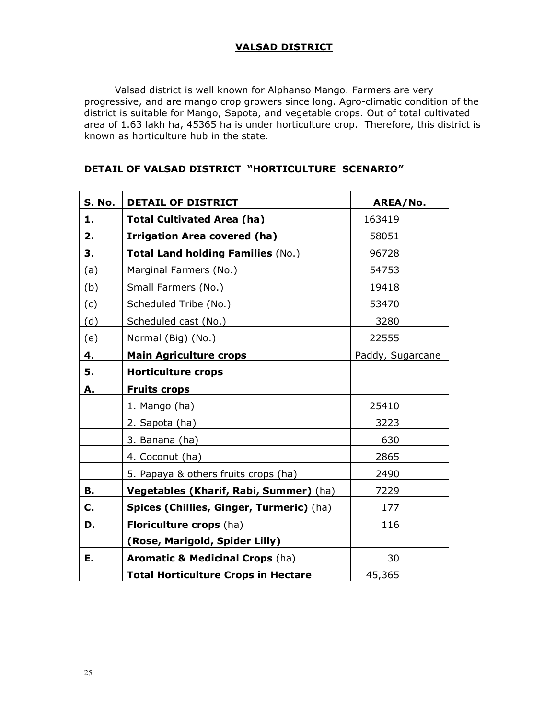## VALSAD DISTRICT

 Valsad district is well known for Alphanso Mango. Farmers are very progressive, and are mango crop growers since long. Agro-climatic condition of the district is suitable for Mango, Sapota, and vegetable crops. Out of total cultivated area of 1.63 lakh ha, 45365 ha is under horticulture crop. Therefore, this district is known as horticulture hub in the state.

| S. No. | <b>DETAIL OF DISTRICT</b>                  | AREA/No.         |
|--------|--------------------------------------------|------------------|
| 1.     | <b>Total Cultivated Area (ha)</b>          | 163419           |
| 2.     | <b>Irrigation Area covered (ha)</b>        | 58051            |
| 3.     | Total Land holding Families (No.)          | 96728            |
| (a)    | Marginal Farmers (No.)                     | 54753            |
| (b)    | Small Farmers (No.)                        | 19418            |
| (c)    | Scheduled Tribe (No.)                      | 53470            |
| (d)    | Scheduled cast (No.)                       | 3280             |
| (e)    | Normal (Big) (No.)                         | 22555            |
| 4.     | <b>Main Agriculture crops</b>              | Paddy, Sugarcane |
| 5.     | <b>Horticulture crops</b>                  |                  |
| А.     | <b>Fruits crops</b>                        |                  |
|        | 1. Mango (ha)                              | 25410            |
|        | 2. Sapota (ha)                             | 3223             |
|        | 3. Banana (ha)                             | 630              |
|        | 4. Coconut (ha)                            | 2865             |
|        | 5. Papaya & others fruits crops (ha)       | 2490             |
| В.     | Vegetables (Kharif, Rabi, Summer) (ha)     | 7229             |
| C.     | Spices (Chillies, Ginger, Turmeric) (ha)   | 177              |
| D.     | Floriculture crops (ha)                    | 116              |
|        | (Rose, Marigold, Spider Lilly)             |                  |
| Ε.     | <b>Aromatic &amp; Medicinal Crops (ha)</b> | 30               |
|        | <b>Total Horticulture Crops in Hectare</b> | 45,365           |

#### DETAIL OF VALSAD DISTRICT "HORTICULTURE SCENARIO"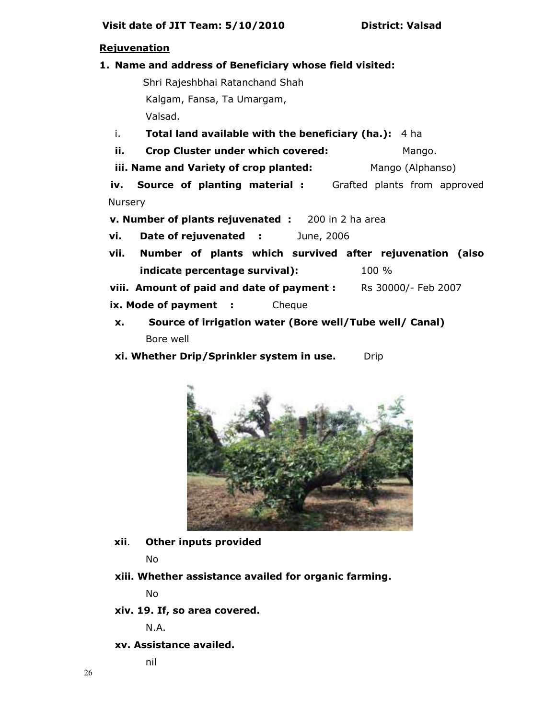## **Rejuvenation**

#### 1. Name and address of Beneficiary whose field visited:

 Shri Rajeshbhai Ratanchand Shah Kalgam, Fansa, Ta Umargam,

Valsad.

- i. Total land available with the beneficiary (ha.): 4 ha
- ii. Crop Cluster under which covered: Mango.
- iii. Name and Variety of crop planted: Mango (Alphanso)

iv. Source of planting material : Grafted plants from approved **Nursery** 

v. Number of plants rejuvenated : 200 in 2 ha area

vi. Date of rejuvenated : June, 2006

vii. Number of plants which survived after rejuvenation (also indicate percentage survival):  $100\%$ 

viii. Amount of paid and date of payment : Rs 30000/- Feb 2007

- ix. Mode of payment : Cheque
- x. Source of irrigation water (Bore well/Tube well/ Canal) Bore well
- xi. Whether Drip/Sprinkler system in use. Drip



xii. Other inputs provided

No

xiii. Whether assistance availed for organic farming.

No

xiv. 19. If, so area covered.

N.A.

## xv. Assistance availed.

nil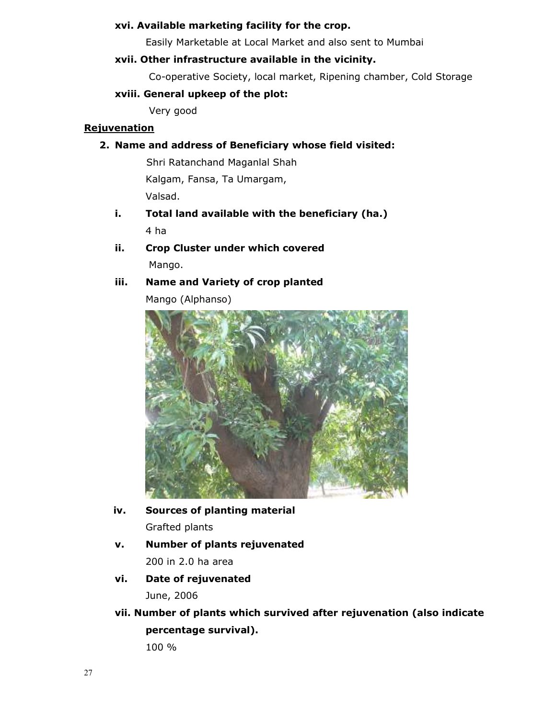# xvi. Available marketing facility for the crop.

Easily Marketable at Local Market and also sent to Mumbai

#### xvii. Other infrastructure available in the vicinity.

Co-operative Society, local market, Ripening chamber, Cold Storage

#### xviii. General upkeep of the plot:

Very good

#### **Rejuvenation**

## 2. Name and address of Beneficiary whose field visited:

 Shri Ratanchand Maganlal Shah Kalgam, Fansa, Ta Umargam, Valsad.

- i. Total land available with the beneficiary (ha.) 4 ha
- ii. Crop Cluster under which covered Mango.

# iii. Name and Variety of crop planted

Mango (Alphanso)



# iv. Sources of planting material Grafted plants

- v. Number of plants rejuvenated 200 in 2.0 ha area
- vi. Date of rejuvenated

June, 2006

vii. Number of plants which survived after rejuvenation (also indicate percentage survival).

100 %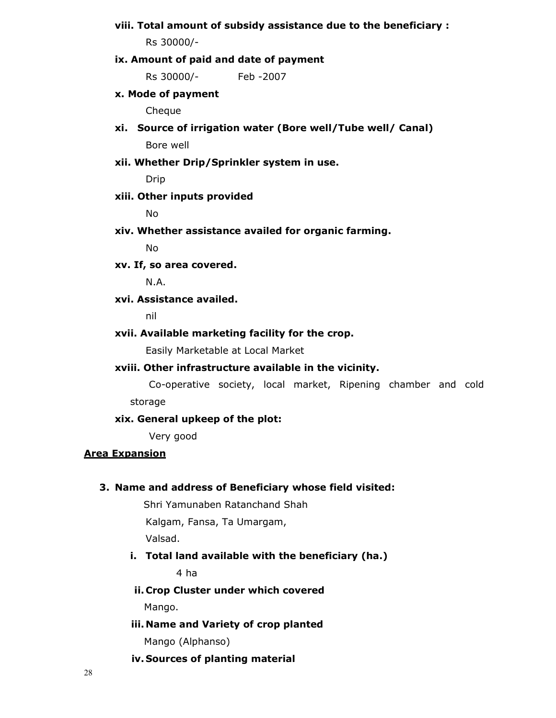## viii. Total amount of subsidy assistance due to the beneficiary :

Rs 30000/-

#### ix. Amount of paid and date of payment

Rs 30000/- Feb -2007

#### x. Mode of payment

Cheque

xi. Source of irrigation water (Bore well/Tube well/ Canal)

Bore well

#### xii. Whether Drip/Sprinkler system in use.

Drip

## xiii. Other inputs provided

No

xiv. Whether assistance availed for organic farming.

No

#### xv. If, so area covered.

N.A.

# xvi. Assistance availed.

nil

#### xvii. Available marketing facility for the crop.

Easily Marketable at Local Market

#### xviii. Other infrastructure available in the vicinity.

 Co-operative society, local market, Ripening chamber and cold storage

# xix. General upkeep of the plot:

Very good

## Area Expansion

#### 3. Name and address of Beneficiary whose field visited:

Shri Yamunaben Ratanchand Shah

Kalgam, Fansa, Ta Umargam,

Valsad.

#### i. Total land available with the beneficiary (ha.)

4 ha

# ii. Crop Cluster under which covered Mango.

# iii. Name and Variety of crop planted

Mango (Alphanso)

#### iv. Sources of planting material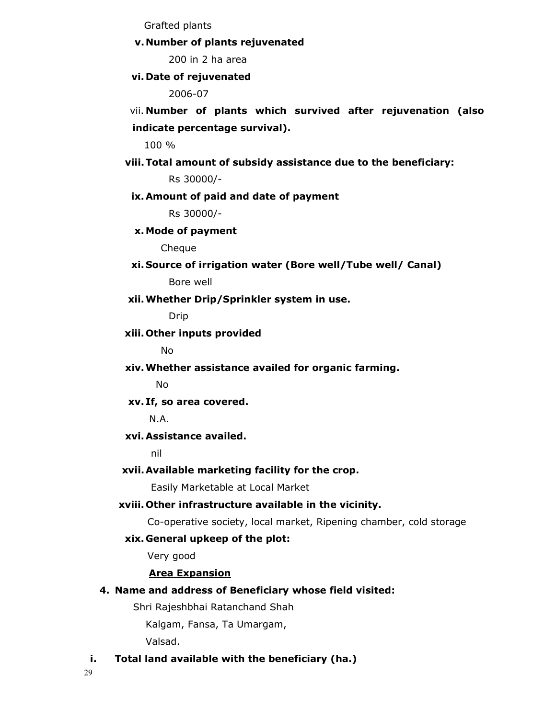Grafted plants

#### v.Number of plants rejuvenated

200 in 2 ha area

#### vi. Date of rejuvenated

2006-07

vii. Number of plants which survived after rejuvenation (also indicate percentage survival).

100 %

viii.Total amount of subsidy assistance due to the beneficiary:

Rs 30000/-

#### ix.Amount of paid and date of payment

Rs 30000/-

#### x.Mode of payment

Cheque

#### xi. Source of irrigation water (Bore well/Tube well/ Canal)

Bore well

#### xii.Whether Drip/Sprinkler system in use.

Drip

#### xiii. Other inputs provided

No

xiv.Whether assistance availed for organic farming.

No

## xv. If, so area covered.

N.A.

#### xvi.Assistance availed.

nil

#### xvii.Available marketing facility for the crop.

Easily Marketable at Local Market

#### xviii. Other infrastructure available in the vicinity.

Co-operative society, local market, Ripening chamber, cold storage

#### xix. General upkeep of the plot:

Very good

## Area Expansion

4. Name and address of Beneficiary whose field visited:

Shri Rajeshbhai Ratanchand Shah

Kalgam, Fansa, Ta Umargam,

Valsad.

## i. Total land available with the beneficiary (ha.)

29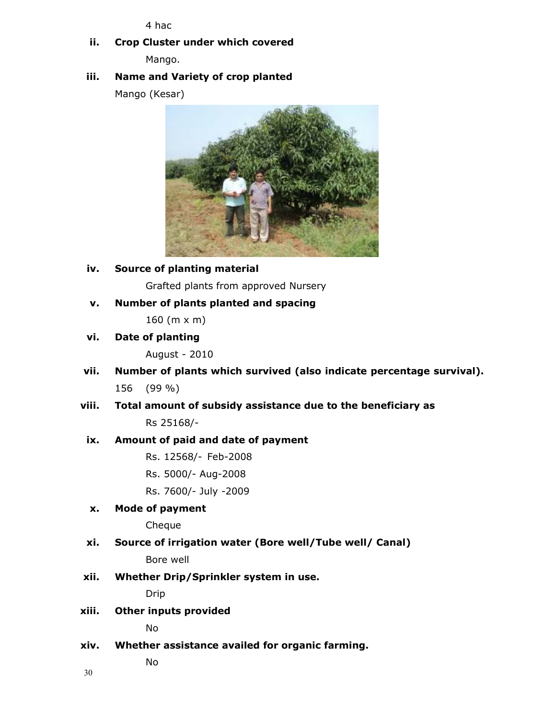4 hac

# ii. Crop Cluster under which covered Mango.

# iii. Name and Variety of crop planted

Mango (Kesar)



iv. Source of planting material

Grafted plants from approved Nursery

v. Number of plants planted and spacing

160 (m x m)

vi. Date of planting

August - 2010

- vii. Number of plants which survived (also indicate percentage survival). 156 (99 %)
- viii. Total amount of subsidy assistance due to the beneficiary as Rs 25168/-

## ix. Amount of paid and date of payment

- Rs. 12568/- Feb-2008
- Rs. 5000/- Aug-2008
- Rs. 7600/- July -2009

## x. Mode of payment

Cheque

- xi. Source of irrigation water (Bore well/Tube well/ Canal) Bore well
- xii. Whether Drip/Sprinkler system in use.

Drip

xiii. Other inputs provided

No

xiv. Whether assistance availed for organic farming.

No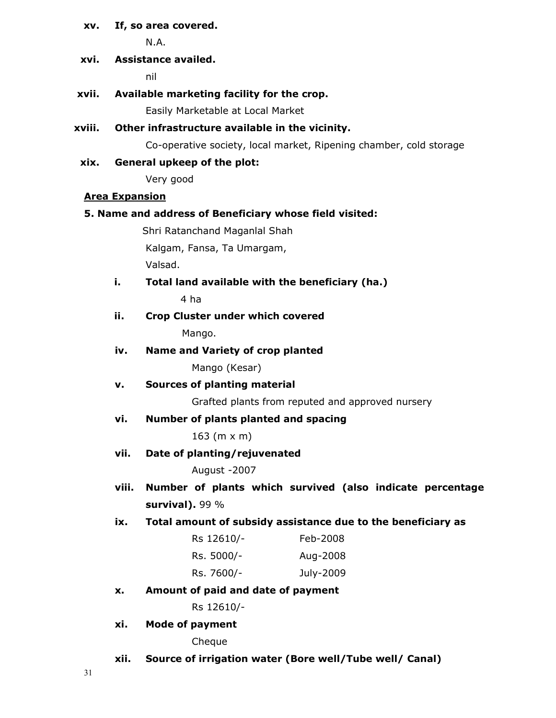## xv. If, so area covered.

N.A.

# xvi. Assistance availed.

nil

# xvii. Available marketing facility for the crop.

Easily Marketable at Local Market

# xviii. Other infrastructure available in the vicinity.

Co-operative society, local market, Ripening chamber, cold storage

# xix. General upkeep of the plot:

Very good

# Area Expansion

## 5. Name and address of Beneficiary whose field visited:

Shri Ratanchand Maganlal Shah

Kalgam, Fansa, Ta Umargam,

Valsad.

# i. Total land available with the beneficiary (ha.)

4 ha

# ii. Crop Cluster under which covered Mango.

iv. Name and Variety of crop planted

Mango (Kesar)

v. Sources of planting material

Grafted plants from reputed and approved nursery

vi. Number of plants planted and spacing

163 (m x m)

vii. Date of planting/rejuvenated

August -2007

# viii. Number of plants which survived (also indicate percentage survival). 99 %

ix. Total amount of subsidy assistance due to the beneficiary as

| Rs 12610/- | Feb-2008  |
|------------|-----------|
| Rs. 5000/- | Aug-2008  |
| Rs. 7600/- | July-2009 |

x. Amount of paid and date of payment

Rs 12610/-

xi. Mode of payment

Cheque

xii. Source of irrigation water (Bore well/Tube well/ Canal)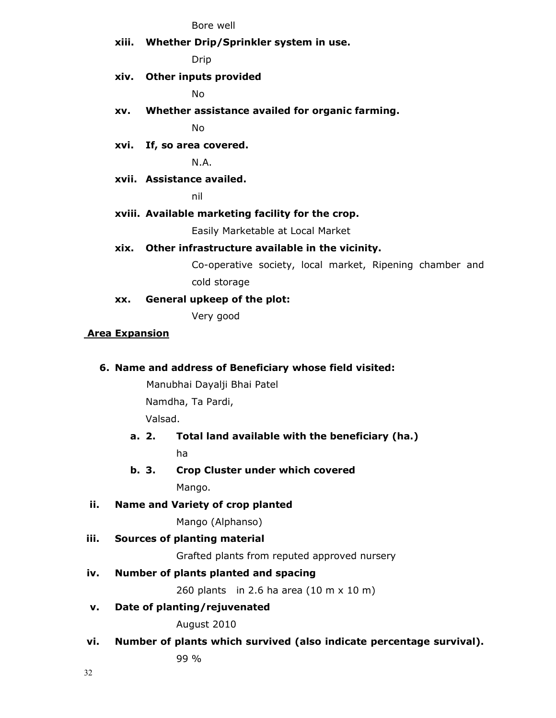Bore well

xiii. Whether Drip/Sprinkler system in use.

Drip

xiv. Other inputs provided

No

xv. Whether assistance availed for organic farming.

No

xvi. If, so area covered.

N.A.

xvii. Assistance availed.

nil

#### xviii. Available marketing facility for the crop.

Easily Marketable at Local Market

#### xix. Other infrastructure available in the vicinity.

Co-operative society, local market, Ripening chamber and cold storage

xx. General upkeep of the plot:

Very good

## Area Expansion

## 6. Name and address of Beneficiary whose field visited:

 Manubhai Dayalji Bhai Patel Namdha, Ta Pardi,

Valsad.

# a. 2. Total land available with the beneficiary (ha.) ha

b. 3. Crop Cluster under which covered Mango.

## ii. Name and Variety of crop planted

Mango (Alphanso)

## iii. Sources of planting material

Grafted plants from reputed approved nursery

## iv. Number of plants planted and spacing

260 plants in 2.6 ha area (10 m x 10 m)

## v. Date of planting/rejuvenated

August 2010

vi. Number of plants which survived (also indicate percentage survival).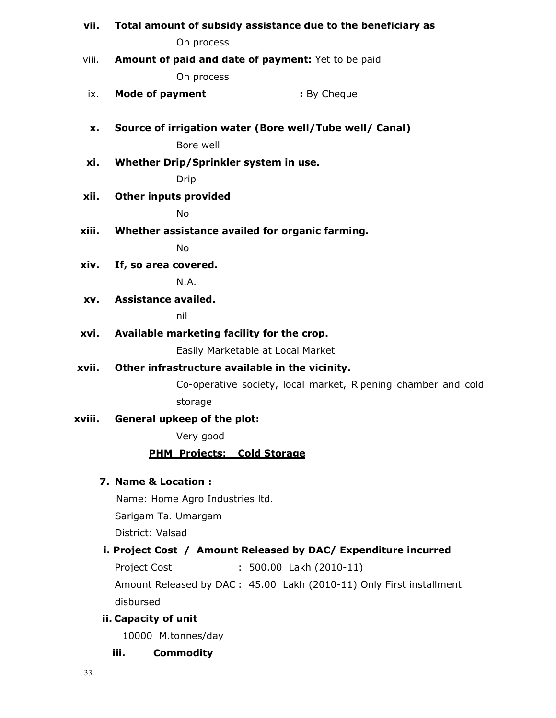| vii.   | Total amount of subsidy assistance due to the beneficiary as  |
|--------|---------------------------------------------------------------|
|        | On process                                                    |
| viii.  | Amount of paid and date of payment: Yet to be paid            |
|        | On process                                                    |
| ix.    | : By Cheque<br><b>Mode of payment</b>                         |
| x.     | Source of irrigation water (Bore well/Tube well/ Canal)       |
|        | Bore well                                                     |
| xi.    | Whether Drip/Sprinkler system in use.                         |
|        | Drip                                                          |
| xii.   | <b>Other inputs provided</b>                                  |
|        | <b>No</b>                                                     |
| xiii.  | Whether assistance availed for organic farming.               |
|        | <b>No</b>                                                     |
| xiv.   | If, so area covered.                                          |
|        | N.A.                                                          |
| XV.    | Assistance availed.                                           |
|        | nil                                                           |
| xvi.   | Available marketing facility for the crop.                    |
|        | Easily Marketable at Local Market                             |
| xvii.  | Other infrastructure available in the vicinity.               |
|        | Co-operative society, local market, Ripening chamber and cold |
|        | storage                                                       |
| xviii. | General upkeep of the plot:                                   |
|        | Very good                                                     |
|        | <b>PHM Projects: Cold Storage</b>                             |
|        | 7. Name & Location:                                           |
|        | Name: Home Agro Industries ltd.                               |
|        | Sarigam Ta. Umargam                                           |
|        | District: Valsad                                              |
|        |                                                               |

# i. Project Cost / Amount Released by DAC/ Expenditure incurred

Project Cost : 500.00 Lakh (2010-11)

Amount Released by DAC : 45.00 Lakh (2010-11) Only First installment disbursed

# ii. Capacity of unit

10000 M.tonnes/day

iii. Commodity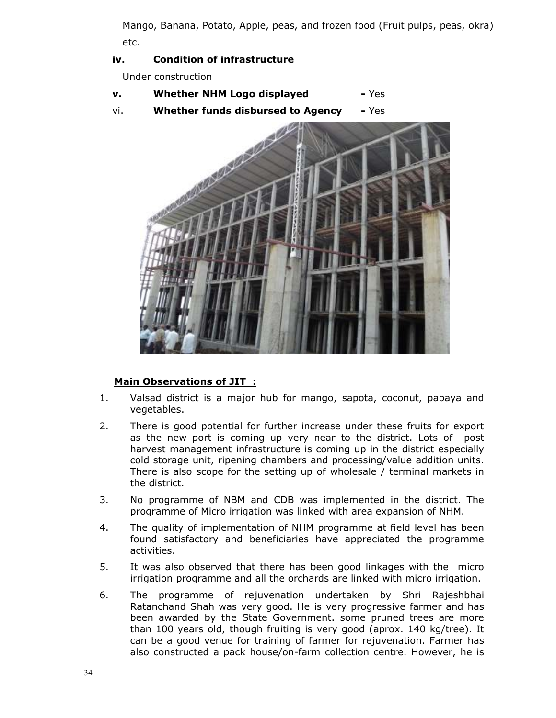Mango, Banana, Potato, Apple, peas, and frozen food (Fruit pulps, peas, okra) etc.

# iv. Condition of infrastructure

Under construction

- v. Whether NHM Logo displayed Yes
- vi. Whether funds disbursed to Agency Yes



# Main Observations of JIT :

- 1. Valsad district is a major hub for mango, sapota, coconut, papaya and vegetables.
- 2. There is good potential for further increase under these fruits for export as the new port is coming up very near to the district. Lots of post harvest management infrastructure is coming up in the district especially cold storage unit, ripening chambers and processing/value addition units. There is also scope for the setting up of wholesale / terminal markets in the district.
- 3. No programme of NBM and CDB was implemented in the district. The programme of Micro irrigation was linked with area expansion of NHM.
- 4. The quality of implementation of NHM programme at field level has been found satisfactory and beneficiaries have appreciated the programme activities.
- 5. It was also observed that there has been good linkages with the micro irrigation programme and all the orchards are linked with micro irrigation.
- 6. The programme of rejuvenation undertaken by Shri Rajeshbhai Ratanchand Shah was very good. He is very progressive farmer and has been awarded by the State Government. some pruned trees are more than 100 years old, though fruiting is very good (aprox. 140 kg/tree). It can be a good venue for training of farmer for rejuvenation. Farmer has also constructed a pack house/on-farm collection centre. However, he is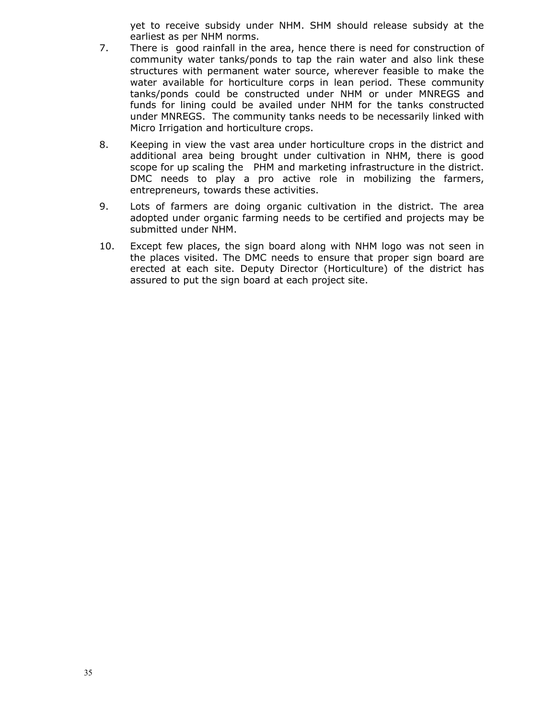yet to receive subsidy under NHM. SHM should release subsidy at the earliest as per NHM norms.

- 7. There is good rainfall in the area, hence there is need for construction of community water tanks/ponds to tap the rain water and also link these structures with permanent water source, wherever feasible to make the water available for horticulture corps in lean period. These community tanks/ponds could be constructed under NHM or under MNREGS and funds for lining could be availed under NHM for the tanks constructed under MNREGS. The community tanks needs to be necessarily linked with Micro Irrigation and horticulture crops.
- 8. Keeping in view the vast area under horticulture crops in the district and additional area being brought under cultivation in NHM, there is good scope for up scaling the PHM and marketing infrastructure in the district. DMC needs to play a pro active role in mobilizing the farmers, entrepreneurs, towards these activities.
- 9. Lots of farmers are doing organic cultivation in the district. The area adopted under organic farming needs to be certified and projects may be submitted under NHM.
- 10. Except few places, the sign board along with NHM logo was not seen in the places visited. The DMC needs to ensure that proper sign board are erected at each site. Deputy Director (Horticulture) of the district has assured to put the sign board at each project site.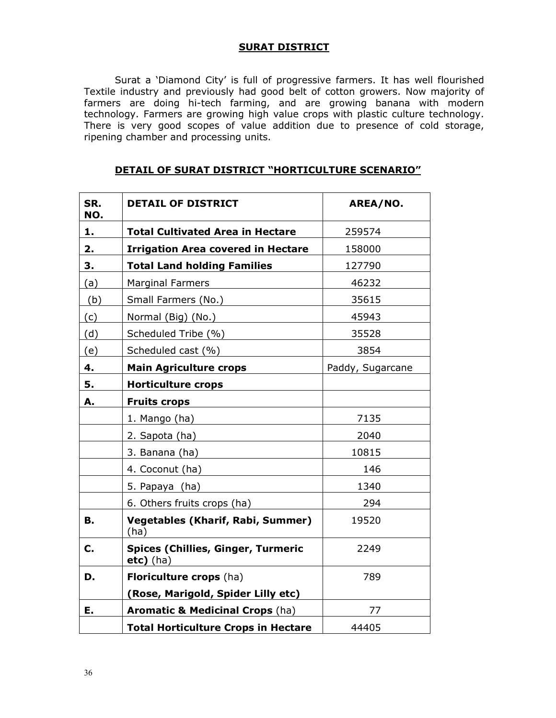## SURAT DISTRICT

 Surat a 'Diamond City' is full of progressive farmers. It has well flourished Textile industry and previously had good belt of cotton growers. Now majority of farmers are doing hi-tech farming, and are growing banana with modern technology. Farmers are growing high value crops with plastic culture technology. There is very good scopes of value addition due to presence of cold storage, ripening chamber and processing units.

| SR.<br>NO. | <b>DETAIL OF DISTRICT</b>                                | AREA/NO.         |
|------------|----------------------------------------------------------|------------------|
| 1.         | <b>Total Cultivated Area in Hectare</b>                  | 259574           |
| 2.         | <b>Irrigation Area covered in Hectare</b>                | 158000           |
| 3.         | <b>Total Land holding Families</b>                       | 127790           |
| (a)        | <b>Marginal Farmers</b>                                  | 46232            |
| (b)        | Small Farmers (No.)                                      | 35615            |
| (c)        | Normal (Big) (No.)                                       | 45943            |
| (d)        | Scheduled Tribe (%)                                      | 35528            |
| (e)        | Scheduled cast (%)                                       | 3854             |
| 4.         | <b>Main Agriculture crops</b>                            | Paddy, Sugarcane |
| 5.         | <b>Horticulture crops</b>                                |                  |
| А.         | <b>Fruits crops</b>                                      |                  |
|            | 1. Mango (ha)                                            | 7135             |
|            | 2. Sapota (ha)                                           | 2040             |
|            | 3. Banana (ha)                                           | 10815            |
|            | 4. Coconut (ha)                                          | 146              |
|            | 5. Papaya (ha)                                           | 1340             |
|            | 6. Others fruits crops (ha)                              | 294              |
| <b>B.</b>  | <b>Vegetables (Kharif, Rabi, Summer)</b><br>(ha)         | 19520            |
| C.         | <b>Spices (Chillies, Ginger, Turmeric</b><br>$etc)$ (ha) | 2249             |
| D.         | Floriculture crops (ha)                                  | 789              |
|            | (Rose, Marigold, Spider Lilly etc)                       |                  |
| E.         | <b>Aromatic &amp; Medicinal Crops (ha)</b>               | 77               |
|            | <b>Total Horticulture Crops in Hectare</b>               | 44405            |

#### DETAIL OF SURAT DISTRICT "HORTICULTURE SCENARIO"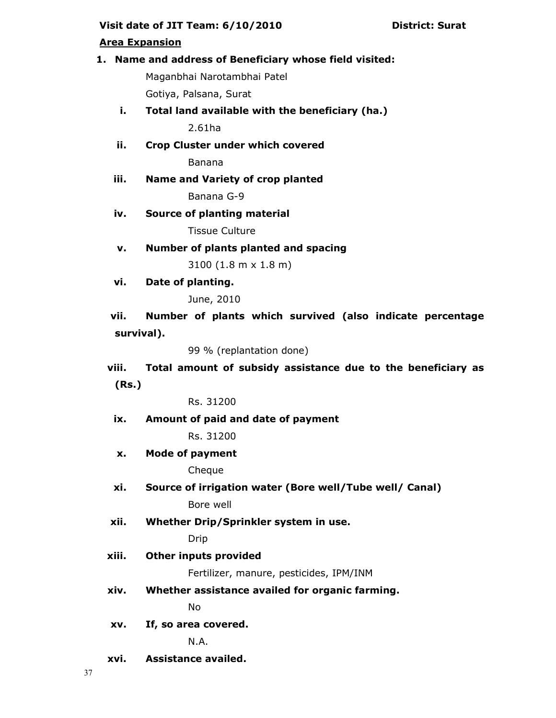## Visit date of JIT Team: 6/10/2010 District: Surat

## Area Expansion

## 1. Name and address of Beneficiary whose field visited:

Maganbhai Narotambhai Patel Gotiya, Palsana, Surat

- i. Total land available with the beneficiary (ha.) 2.61ha
- ii. Crop Cluster under which covered

Banana

iii. Name and Variety of crop planted Banana G-9

iv. Source of planting material

Tissue Culture

v. Number of plants planted and spacing

3100 (1.8 m x 1.8 m)

vi. Date of planting.

June, 2010

vii. Number of plants which survived (also indicate percentage survival).

99 % (replantation done)

viii. Total amount of subsidy assistance due to the beneficiary as (Rs.)

Rs. 31200

ix. Amount of paid and date of payment

Rs. 31200

x. Mode of payment

Cheque

- xi. Source of irrigation water (Bore well/Tube well/ Canal) Bore well
- xii. Whether Drip/Sprinkler system in use.

Drip

xiii. Other inputs provided

Fertilizer, manure, pesticides, IPM/INM

xiv. Whether assistance availed for organic farming.

No

xv. If, so area covered.

N.A.

xvi. Assistance availed.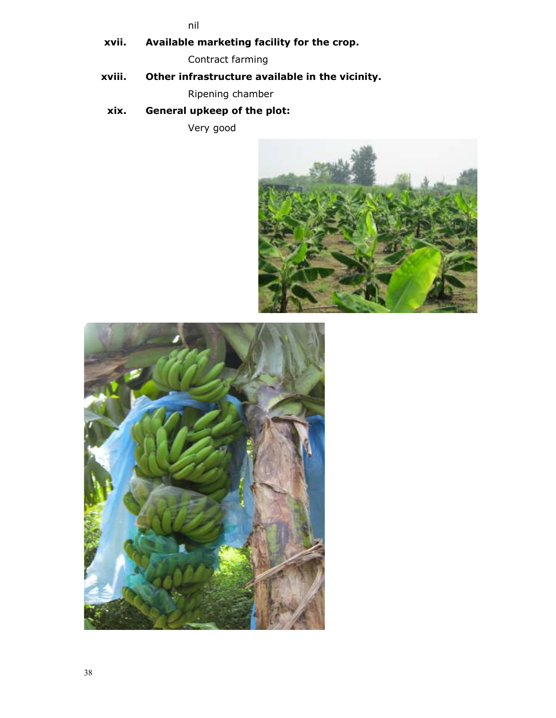nil

xvii. Available marketing facility for the crop.

Contract farming

xviii. Other infrastructure available in the vicinity.

Ripening chamber

xix. General upkeep of the plot:

Very good



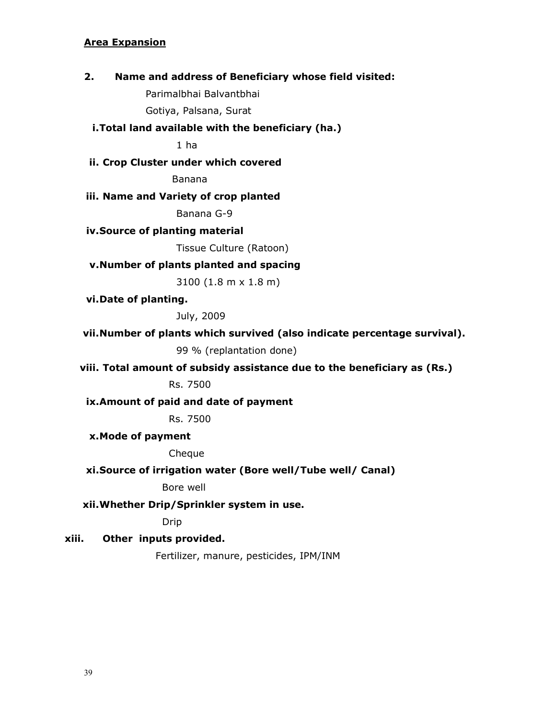### Area Expansion

#### 2. Name and address of Beneficiary whose field visited:

Parimalbhai Balvantbhai

Gotiya, Palsana, Surat

#### i.Total land available with the beneficiary (ha.)

1 ha

# ii. Crop Cluster under which covered

Banana

#### iii. Name and Variety of crop planted

Banana G-9

#### iv.Source of planting material

Tissue Culture (Ratoon)

## v.Number of plants planted and spacing

3100 (1.8 m x 1.8 m)

vi.Date of planting.

July, 2009

#### vii.Number of plants which survived (also indicate percentage survival).

99 % (replantation done)

#### viii. Total amount of subsidy assistance due to the beneficiary as (Rs.)

Rs. 7500

#### ix.Amount of paid and date of payment

Rs. 7500

#### x.Mode of payment

Cheque

#### xi.Source of irrigation water (Bore well/Tube well/ Canal)

Bore well

#### xii.Whether Drip/Sprinkler system in use.

Drip

#### xiii. Other inputs provided.

Fertilizer, manure, pesticides, IPM/INM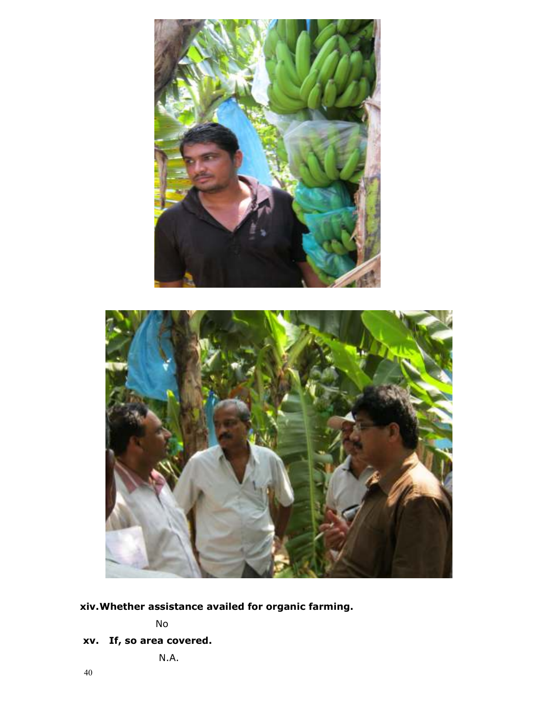



xiv.Whether assistance availed for organic farming.

No

xv. If, so area covered.

N.A.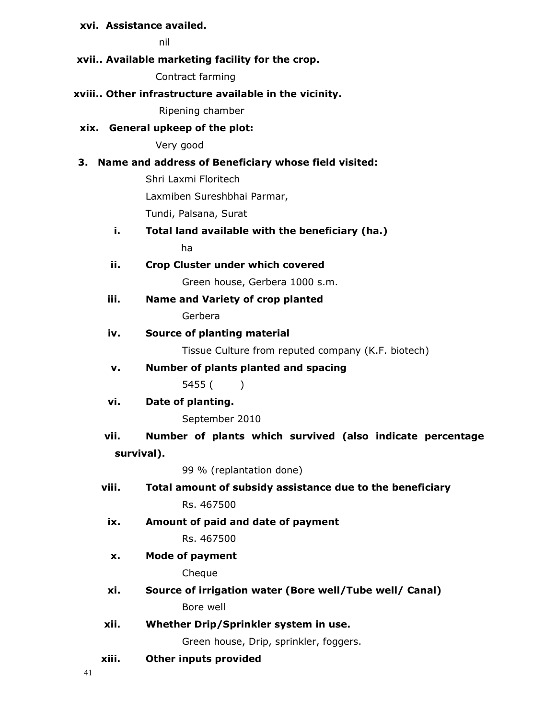## xvi. Assistance availed.

nil

#### xvii.. Available marketing facility for the crop.

Contract farming

#### xviii.. Other infrastructure available in the vicinity.

Ripening chamber

#### xix. General upkeep of the plot:

Very good

#### 3. Name and address of Beneficiary whose field visited:

Shri Laxmi Floritech Laxmiben Sureshbhai Parmar, Tundi, Palsana, Surat

# i. Total land available with the beneficiary (ha.) ha

ii. Crop Cluster under which covered

Green house, Gerbera 1000 s.m.

iii. Name and Variety of crop planted Gerbera

#### iv. Source of planting material

Tissue Culture from reputed company (K.F. biotech)

v. Number of plants planted and spacing

5455 ( )

#### vi. Date of planting.

September 2010

# vii. Number of plants which survived (also indicate percentage survival).

99 % (replantation done)

# viii. Total amount of subsidy assistance due to the beneficiary

Rs. 467500

ix. Amount of paid and date of payment

Rs. 467500

## x. Mode of payment

Cheque

- xi. Source of irrigation water (Bore well/Tube well/ Canal) Bore well
- xii. Whether Drip/Sprinkler system in use.

Green house, Drip, sprinkler, foggers.

xiii. Other inputs provided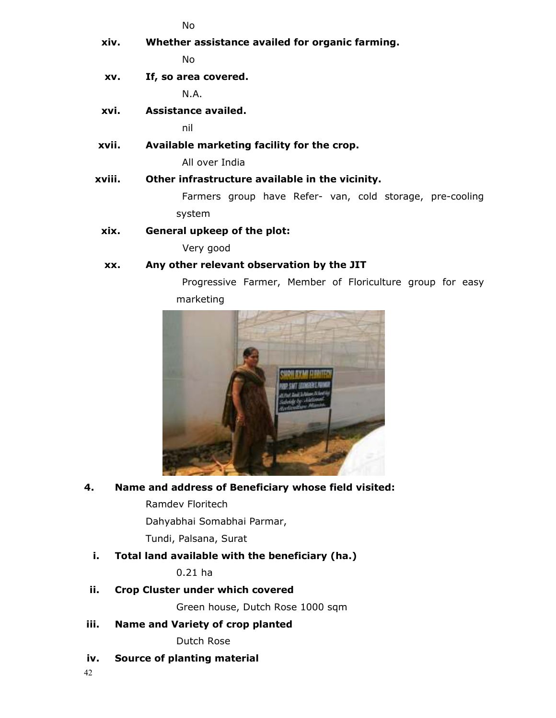No xiv. Whether assistance availed for organic farming. No xv. If, so area covered. N.A. xvi. Assistance availed. nil xvii. Available marketing facility for the crop. All over India xviii. Other infrastructure available in the vicinity. Farmers group have Refer- van, cold storage, pre-cooling system xix. General upkeep of the plot: Very good

# xx. Any other relevant observation by the JIT

Progressive Farmer, Member of Floriculture group for easy marketing



# 4. Name and address of Beneficiary whose field visited:

Ramdev Floritech

Dahyabhai Somabhai Parmar,

Tundi, Palsana, Surat

# i. Total land available with the beneficiary (ha.)

0.21 ha

# ii. Crop Cluster under which covered

Green house, Dutch Rose 1000 sqm

iii. Name and Variety of crop planted

Dutch Rose

iv. Source of planting material

42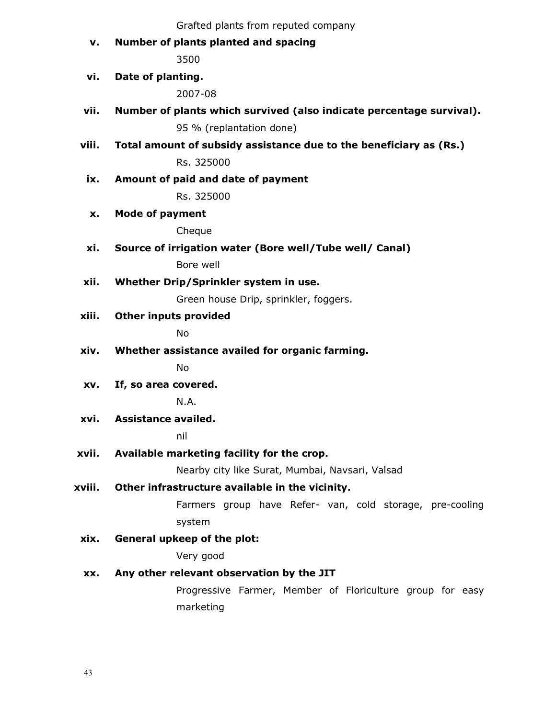v. Number of plants planted and spacing

3500

## vi. Date of planting.

2007-08

- vii. Number of plants which survived (also indicate percentage survival). 95 % (replantation done)
- viii. Total amount of subsidy assistance due to the beneficiary as (Rs.)

Rs. 325000

ix. Amount of paid and date of payment

Rs. 325000

x. Mode of payment

Cheque

xi. Source of irrigation water (Bore well/Tube well/ Canal)

Bore well

xii. Whether Drip/Sprinkler system in use.

Green house Drip, sprinkler, foggers.

xiii. Other inputs provided

No

xiv. Whether assistance availed for organic farming.

No

xv. If, so area covered.

N.A.

xvi. Assistance availed.

nil

xvii. Available marketing facility for the crop.

Nearby city like Surat, Mumbai, Navsari, Valsad

xviii. Other infrastructure available in the vicinity.

Farmers group have Refer- van, cold storage, pre-cooling system

xix. General upkeep of the plot:

Very good

## xx. Any other relevant observation by the JIT

Progressive Farmer, Member of Floriculture group for easy marketing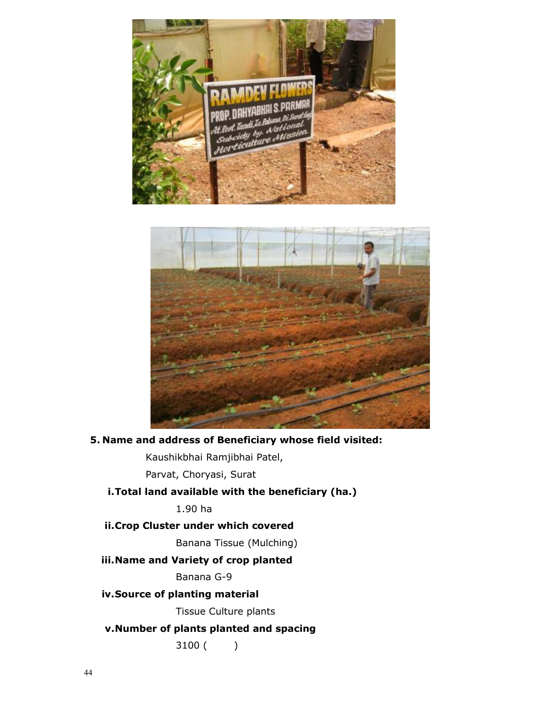



5. Name and address of Beneficiary whose field visited:

Kaushikbhai Ramjibhai Patel,

Parvat, Choryasi, Surat

# i.Total land available with the beneficiary (ha.)

1.90 ha

ii.Crop Cluster under which covered

Banana Tissue (Mulching)

# iii.Name and Variety of crop planted

Banana G-9

## iv.Source of planting material

Tissue Culture plants

# v.Number of plants planted and spacing

3100 ( )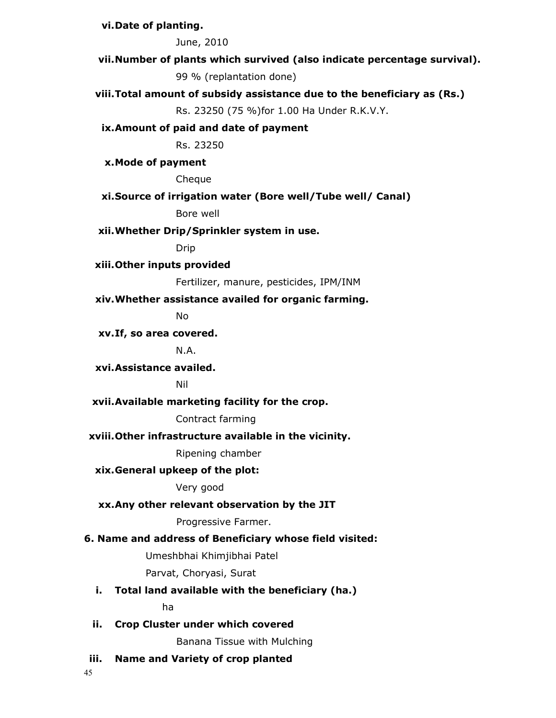## vi.Date of planting.

June, 2010

vii.Number of plants which survived (also indicate percentage survival).

99 % (replantation done)

## viii.Total amount of subsidy assistance due to the beneficiary as (Rs.)

Rs. 23250 (75 %)for 1.00 Ha Under R.K.V.Y.

#### ix.Amount of paid and date of payment

Rs. 23250

x.Mode of payment

Cheque

## xi.Source of irrigation water (Bore well/Tube well/ Canal)

Bore well

## xii.Whether Drip/Sprinkler system in use.

Drip

## xiii.Other inputs provided

Fertilizer, manure, pesticides, IPM/INM

#### xiv.Whether assistance availed for organic farming.

No

#### xv.If, so area covered.

N.A.

## xvi.Assistance availed.

Nil

## xvii.Available marketing facility for the crop.

## Contract farming

# xviii.Other infrastructure available in the vicinity.

Ripening chamber

## xix.General upkeep of the plot:

Very good

## xx.Any other relevant observation by the JIT

Progressive Farmer.

## 6. Name and address of Beneficiary whose field visited:

Umeshbhai Khimjibhai Patel

Parvat, Choryasi, Surat

## i. Total land available with the beneficiary (ha.)

ha

## ii. Crop Cluster under which covered

Banana Tissue with Mulching

## iii. Name and Variety of crop planted

45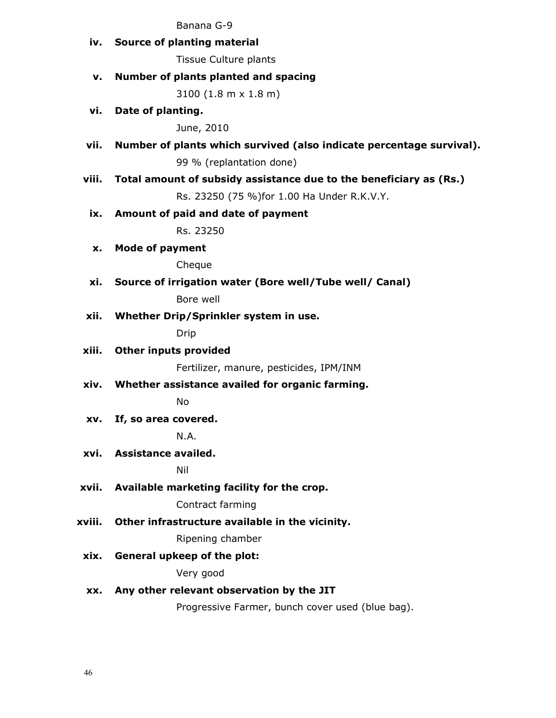#### Banana G-9

iv. Source of planting material

Tissue Culture plants

## v. Number of plants planted and spacing

3100 (1.8 m x 1.8 m)

vi. Date of planting.

June, 2010

vii. Number of plants which survived (also indicate percentage survival).

99 % (replantation done)

viii. Total amount of subsidy assistance due to the beneficiary as (Rs.)

Rs. 23250 (75 %)for 1.00 Ha Under R.K.V.Y.

## ix. Amount of paid and date of payment

Rs. 23250

x. Mode of payment

Cheque

xi. Source of irrigation water (Bore well/Tube well/ Canal)

Bore well

xii. Whether Drip/Sprinkler system in use.

Drip

xiii. Other inputs provided

Fertilizer, manure, pesticides, IPM/INM

xiv. Whether assistance availed for organic farming.

No

xv. If, so area covered.

N.A.

xvi. Assistance availed.

Nil

xvii. Available marketing facility for the crop.

Contract farming

xviii. Other infrastructure available in the vicinity.

Ripening chamber

xix. General upkeep of the plot:

Very good

## xx. Any other relevant observation by the JIT

Progressive Farmer, bunch cover used (blue bag).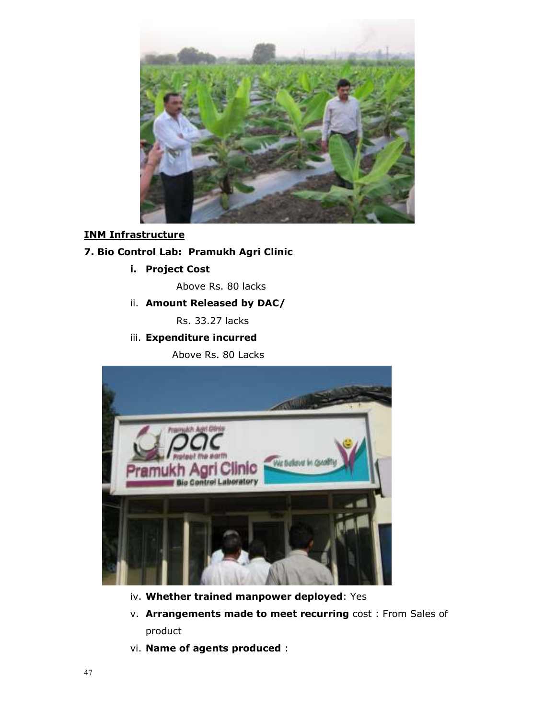

# INM Infrastructure

## 7. Bio Control Lab: Pramukh Agri Clinic

i. Project Cost

Above Rs. 80 lacks

ii. Amount Released by DAC/

Rs. 33.27 lacks

## iii. Expenditure incurred

Above Rs. 80 Lacks



- iv. Whether trained manpower deployed: Yes
- v. Arrangements made to meet recurring cost: From Sales of product
- vi. Name of agents produced :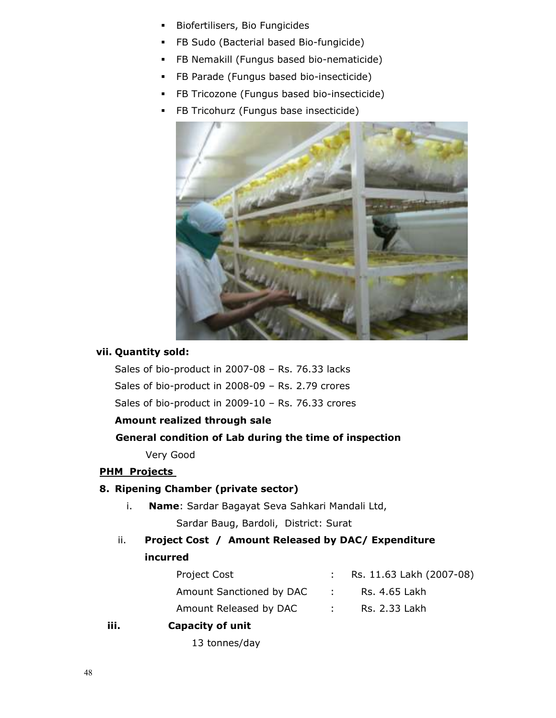- **Biofertilisers, Bio Fungicides**
- **FB Sudo (Bacterial based Bio-fungicide)**
- **FB Nemakill (Fungus based bio-nematicide)**
- **FB Parade (Fungus based bio-insecticide)**
- **FB Tricozone (Fungus based bio-insecticide)**
- **FB Tricohurz (Fungus base insecticide)**



#### vii. Quantity sold:

Sales of bio-product in 2007-08 – Rs. 76.33 lacks Sales of bio-product in 2008-09 – Rs. 2.79 crores Sales of bio-product in 2009-10 – Rs. 76.33 crores

## Amount realized through sale

#### General condition of Lab during the time of inspection

Very Good

#### **PHM Projects**

## 8. Ripening Chamber (private sector)

- i. Name: Sardar Bagayat Seva Sahkari Mandali Ltd, Sardar Baug, Bardoli, District: Surat
- ii. Project Cost / Amount Released by DAC/ Expenditure incurred

| <b>Project Cost</b>      |                   | : Rs. $11.63$ Lakh (2007-08) |
|--------------------------|-------------------|------------------------------|
| Amount Sanctioned by DAC | <b>Contractor</b> | Rs. 4.65 Lakh                |
| Amount Released by DAC   | <b>Contract</b>   | Rs. 2.33 Lakh                |
|                          |                   |                              |

## iii. Capacity of unit

13 tonnes/day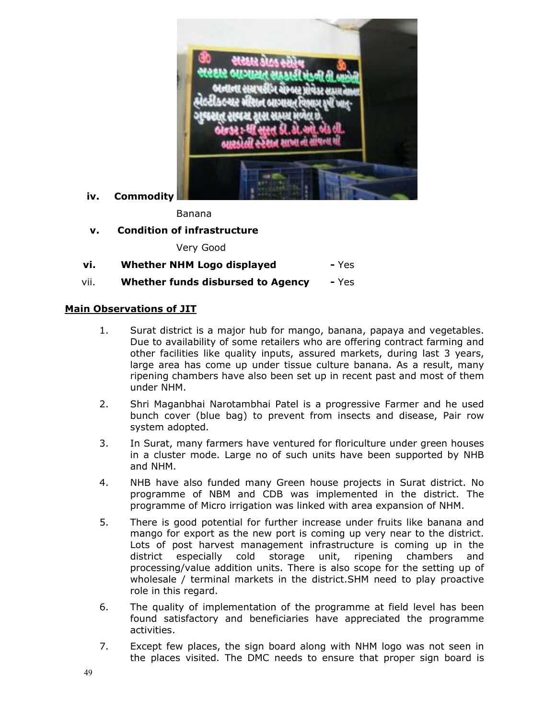

iv. Commodity

Banana

v. Condition of infrastructure

Very Good

| vi. | <b>Whether NHM Logo displayed</b> | - Yes |
|-----|-----------------------------------|-------|
|     |                                   |       |

vii. Whether funds disbursed to Agency - Yes

#### Main Observations of JIT

- 1. Surat district is a major hub for mango, banana, papaya and vegetables. Due to availability of some retailers who are offering contract farming and other facilities like quality inputs, assured markets, during last 3 years, large area has come up under tissue culture banana. As a result, many ripening chambers have also been set up in recent past and most of them under NHM.
- 2. Shri Maganbhai Narotambhai Patel is a progressive Farmer and he used bunch cover (blue bag) to prevent from insects and disease, Pair row system adopted.
- 3. In Surat, many farmers have ventured for floriculture under green houses in a cluster mode. Large no of such units have been supported by NHB and NHM.
- 4. NHB have also funded many Green house projects in Surat district. No programme of NBM and CDB was implemented in the district. The programme of Micro irrigation was linked with area expansion of NHM.
- 5. There is good potential for further increase under fruits like banana and mango for export as the new port is coming up very near to the district. Lots of post harvest management infrastructure is coming up in the district especially cold storage unit, ripening chambers and processing/value addition units. There is also scope for the setting up of wholesale / terminal markets in the district.SHM need to play proactive role in this regard.
- 6. The quality of implementation of the programme at field level has been found satisfactory and beneficiaries have appreciated the programme activities.
- 7. Except few places, the sign board along with NHM logo was not seen in the places visited. The DMC needs to ensure that proper sign board is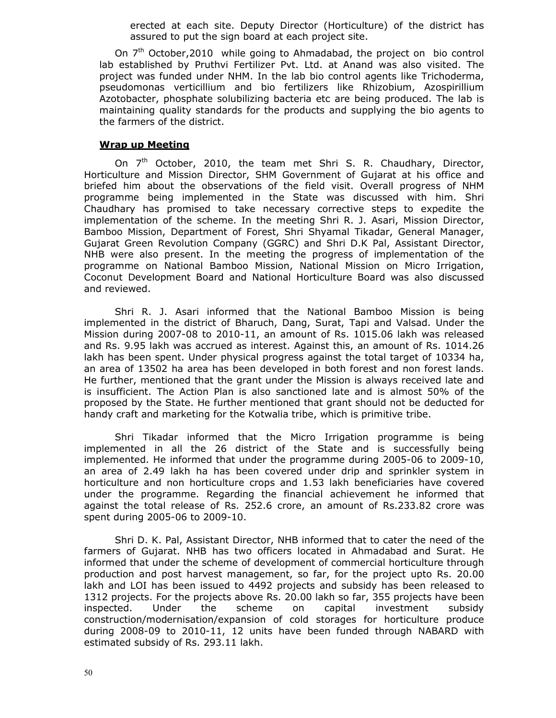erected at each site. Deputy Director (Horticulture) of the district has assured to put the sign board at each project site.

On  $7<sup>th</sup>$  October, 2010 while going to Ahmadabad, the project on bio control lab established by Pruthvi Fertilizer Pvt. Ltd. at Anand was also visited. The project was funded under NHM. In the lab bio control agents like Trichoderma, pseudomonas verticillium and bio fertilizers like Rhizobium, Azospirillium Azotobacter, phosphate solubilizing bacteria etc are being produced. The lab is maintaining quality standards for the products and supplying the bio agents to the farmers of the district.

#### Wrap up Meeting

On 7<sup>th</sup> October, 2010, the team met Shri S. R. Chaudhary, Director, Horticulture and Mission Director, SHM Government of Gujarat at his office and briefed him about the observations of the field visit. Overall progress of NHM programme being implemented in the State was discussed with him. Shri Chaudhary has promised to take necessary corrective steps to expedite the implementation of the scheme. In the meeting Shri R. J. Asari, Mission Director, Bamboo Mission, Department of Forest, Shri Shyamal Tikadar, General Manager, Gujarat Green Revolution Company (GGRC) and Shri D.K Pal, Assistant Director, NHB were also present. In the meeting the progress of implementation of the programme on National Bamboo Mission, National Mission on Micro Irrigation, Coconut Development Board and National Horticulture Board was also discussed and reviewed.

Shri R. J. Asari informed that the National Bamboo Mission is being implemented in the district of Bharuch, Dang, Surat, Tapi and Valsad. Under the Mission during 2007-08 to 2010-11, an amount of Rs. 1015.06 lakh was released and Rs. 9.95 lakh was accrued as interest. Against this, an amount of Rs. 1014.26 lakh has been spent. Under physical progress against the total target of 10334 ha, an area of 13502 ha area has been developed in both forest and non forest lands. He further, mentioned that the grant under the Mission is always received late and is insufficient. The Action Plan is also sanctioned late and is almost 50% of the proposed by the State. He further mentioned that grant should not be deducted for handy craft and marketing for the Kotwalia tribe, which is primitive tribe.

Shri Tikadar informed that the Micro Irrigation programme is being implemented in all the 26 district of the State and is successfully being implemented. He informed that under the programme during 2005-06 to 2009-10, an area of 2.49 lakh ha has been covered under drip and sprinkler system in horticulture and non horticulture crops and 1.53 lakh beneficiaries have covered under the programme. Regarding the financial achievement he informed that against the total release of Rs. 252.6 crore, an amount of Rs.233.82 crore was spent during 2005-06 to 2009-10.

Shri D. K. Pal, Assistant Director, NHB informed that to cater the need of the farmers of Gujarat. NHB has two officers located in Ahmadabad and Surat. He informed that under the scheme of development of commercial horticulture through production and post harvest management, so far, for the project upto Rs. 20.00 lakh and LOI has been issued to 4492 projects and subsidy has been released to 1312 projects. For the projects above Rs. 20.00 lakh so far, 355 projects have been inspected. Under the scheme on capital investment subsidy construction/modernisation/expansion of cold storages for horticulture produce during 2008-09 to 2010-11, 12 units have been funded through NABARD with estimated subsidy of Rs. 293.11 lakh.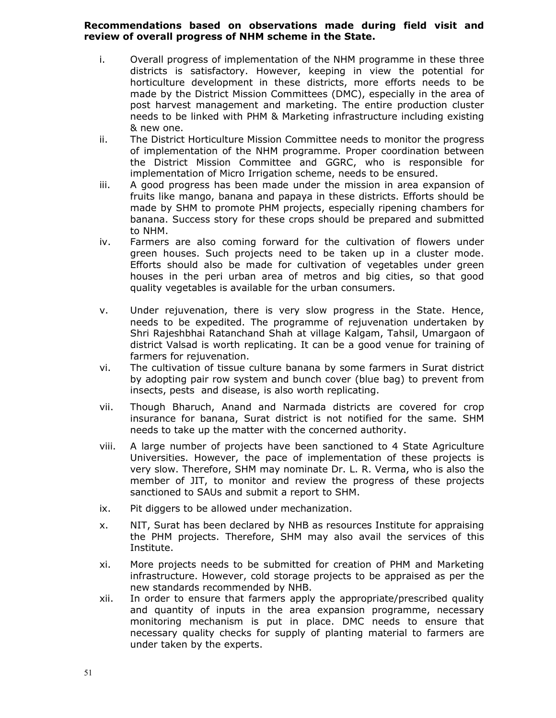## Recommendations based on observations made during field visit and review of overall progress of NHM scheme in the State.

- i. Overall progress of implementation of the NHM programme in these three districts is satisfactory. However, keeping in view the potential for horticulture development in these districts, more efforts needs to be made by the District Mission Committees (DMC), especially in the area of post harvest management and marketing. The entire production cluster needs to be linked with PHM & Marketing infrastructure including existing & new one.
- ii. The District Horticulture Mission Committee needs to monitor the progress of implementation of the NHM programme. Proper coordination between the District Mission Committee and GGRC, who is responsible for implementation of Micro Irrigation scheme, needs to be ensured.
- iii. A good progress has been made under the mission in area expansion of fruits like mango, banana and papaya in these districts. Efforts should be made by SHM to promote PHM projects, especially ripening chambers for banana. Success story for these crops should be prepared and submitted to NHM.
- iv. Farmers are also coming forward for the cultivation of flowers under green houses. Such projects need to be taken up in a cluster mode. Efforts should also be made for cultivation of vegetables under green houses in the peri urban area of metros and big cities, so that good quality vegetables is available for the urban consumers.
- v. Under rejuvenation, there is very slow progress in the State. Hence, needs to be expedited. The programme of rejuvenation undertaken by Shri Rajeshbhai Ratanchand Shah at village Kalgam, Tahsil, Umargaon of district Valsad is worth replicating. It can be a good venue for training of farmers for rejuvenation.
- vi. The cultivation of tissue culture banana by some farmers in Surat district by adopting pair row system and bunch cover (blue bag) to prevent from insects, pests and disease, is also worth replicating.
- vii. Though Bharuch, Anand and Narmada districts are covered for crop insurance for banana, Surat district is not notified for the same. SHM needs to take up the matter with the concerned authority.
- viii. A large number of projects have been sanctioned to 4 State Agriculture Universities. However, the pace of implementation of these projects is very slow. Therefore, SHM may nominate Dr. L. R. Verma, who is also the member of JIT, to monitor and review the progress of these projects sanctioned to SAUs and submit a report to SHM.
- ix. Pit diggers to be allowed under mechanization.
- x. NIT, Surat has been declared by NHB as resources Institute for appraising the PHM projects. Therefore, SHM may also avail the services of this Institute.
- xi. More projects needs to be submitted for creation of PHM and Marketing infrastructure. However, cold storage projects to be appraised as per the new standards recommended by NHB.
- xii. In order to ensure that farmers apply the appropriate/prescribed quality and quantity of inputs in the area expansion programme, necessary monitoring mechanism is put in place. DMC needs to ensure that necessary quality checks for supply of planting material to farmers are under taken by the experts.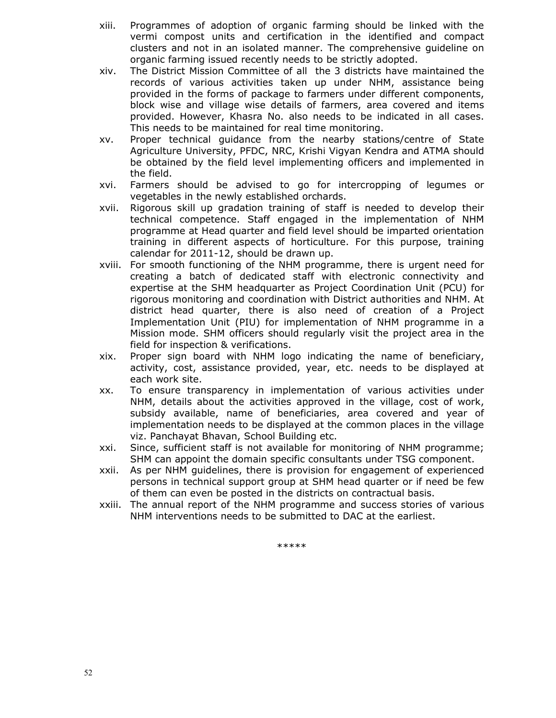- xiii. Programmes of adoption of organic farming should be linked with the vermi compost units and certification in the identified and compact clusters and not in an isolated manner. The comprehensive guideline on organic farming issued recently needs to be strictly adopted.
- xiv. The District Mission Committee of all the 3 districts have maintained the records of various activities taken up under NHM, assistance being provided in the forms of package to farmers under different components, block wise and village wise details of farmers, area covered and items provided. However, Khasra No. also needs to be indicated in all cases. This needs to be maintained for real time monitoring.
- xv. Proper technical guidance from the nearby stations/centre of State Agriculture University, PFDC, NRC, Krishi Vigyan Kendra and ATMA should be obtained by the field level implementing officers and implemented in the field.
- xvi. Farmers should be advised to go for intercropping of legumes or vegetables in the newly established orchards.
- xvii. Rigorous skill up gradation training of staff is needed to develop their technical competence. Staff engaged in the implementation of NHM programme at Head quarter and field level should be imparted orientation training in different aspects of horticulture. For this purpose, training calendar for 2011-12, should be drawn up.
- xviii. For smooth functioning of the NHM programme, there is urgent need for creating a batch of dedicated staff with electronic connectivity and expertise at the SHM headquarter as Project Coordination Unit (PCU) for rigorous monitoring and coordination with District authorities and NHM. At district head quarter, there is also need of creation of a Project Implementation Unit (PIU) for implementation of NHM programme in a Mission mode. SHM officers should regularly visit the project area in the field for inspection & verifications.
- xix. Proper sign board with NHM logo indicating the name of beneficiary, activity, cost, assistance provided, year, etc. needs to be displayed at each work site.
- xx. To ensure transparency in implementation of various activities under NHM, details about the activities approved in the village, cost of work, subsidy available, name of beneficiaries, area covered and year of implementation needs to be displayed at the common places in the village viz. Panchayat Bhavan, School Building etc.
- xxi. Since, sufficient staff is not available for monitoring of NHM programme; SHM can appoint the domain specific consultants under TSG component.
- xxii. As per NHM guidelines, there is provision for engagement of experienced persons in technical support group at SHM head quarter or if need be few of them can even be posted in the districts on contractual basis.
- xxiii. The annual report of the NHM programme and success stories of various NHM interventions needs to be submitted to DAC at the earliest.

\*\*\*\*\*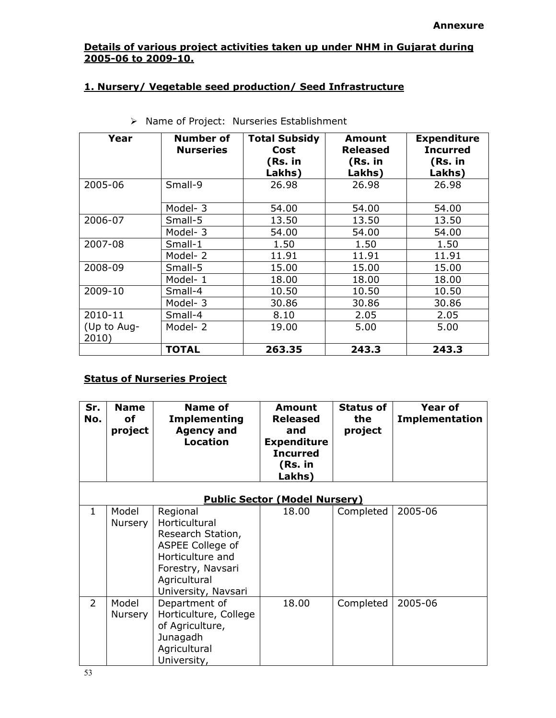# Details of various project activities taken up under NHM in Gujarat during 2005-06 to 2009-10.

# 1. Nursery/ Vegetable seed production/ Seed Infrastructure

| Year                 | Number of<br><b>Nurseries</b> | <b>Total Subsidy</b><br>Cost<br>(Rs. in<br>Lakhs) | Amount<br><b>Released</b><br>(Rs. in<br>Lakhs) | <b>Expenditure</b><br><b>Incurred</b><br>(Rs. in<br>Lakhs) |
|----------------------|-------------------------------|---------------------------------------------------|------------------------------------------------|------------------------------------------------------------|
| 2005-06              | Small-9                       | 26.98                                             | 26.98                                          | 26.98                                                      |
|                      | Model-3                       | 54.00                                             | 54.00                                          | 54.00                                                      |
| 2006-07              | Small-5                       | 13.50                                             | 13.50                                          | 13.50                                                      |
|                      | Model-3                       | 54.00                                             | 54.00                                          | 54.00                                                      |
| 2007-08              | Small-1                       | 1.50                                              | 1.50                                           | 1.50                                                       |
|                      | Model-2                       | 11.91                                             | 11.91                                          | 11.91                                                      |
| 2008-09              | Small-5                       | 15.00                                             | 15.00                                          | 15.00                                                      |
|                      | Model-1                       | 18.00                                             | 18.00                                          | 18.00                                                      |
| 2009-10              | Small-4                       | 10.50                                             | 10.50                                          | 10.50                                                      |
|                      | Model-3                       | 30.86                                             | 30.86                                          | 30.86                                                      |
| 2010-11              | Small-4                       | 8.10                                              | 2.05                                           | 2.05                                                       |
| (Up to Aug-<br>2010) | Model-2                       | 19.00                                             | 5.00                                           | 5.00                                                       |
|                      | <b>TOTAL</b>                  | 263.35                                            | 243.3                                          | 243.3                                                      |

| > Name of Project: Nurseries Establishment |  |  |  |
|--------------------------------------------|--|--|--|
|--------------------------------------------|--|--|--|

# **Status of Nurseries Project**

| Sr.<br>No.     | <b>Name</b><br>οf<br>project         | <b>Name of</b><br><b>Implementing</b><br><b>Agency and</b><br><b>Location</b>                                                                      | Amount<br><b>Released</b><br>and<br><b>Expenditure</b><br><b>Incurred</b><br>(Rs. in<br>Lakhs) | <b>Status of</b><br>the<br>project | <b>Year of</b><br><b>Implementation</b> |  |  |
|----------------|--------------------------------------|----------------------------------------------------------------------------------------------------------------------------------------------------|------------------------------------------------------------------------------------------------|------------------------------------|-----------------------------------------|--|--|
|                | <b>Public Sector (Model Nursery)</b> |                                                                                                                                                    |                                                                                                |                                    |                                         |  |  |
| $\mathbf{1}$   | Model<br>Nursery                     | Regional<br>Horticultural<br>Research Station,<br>ASPEE College of<br>Horticulture and<br>Forestry, Navsari<br>Agricultural<br>University, Navsari | 18.00                                                                                          | Completed                          | 2005-06                                 |  |  |
| $\overline{2}$ | Model<br>Nursery                     | Department of<br>Horticulture, College<br>of Agriculture,<br>Junagadh<br>Agricultural<br>University,                                               | 18.00                                                                                          | Completed                          | 2005-06                                 |  |  |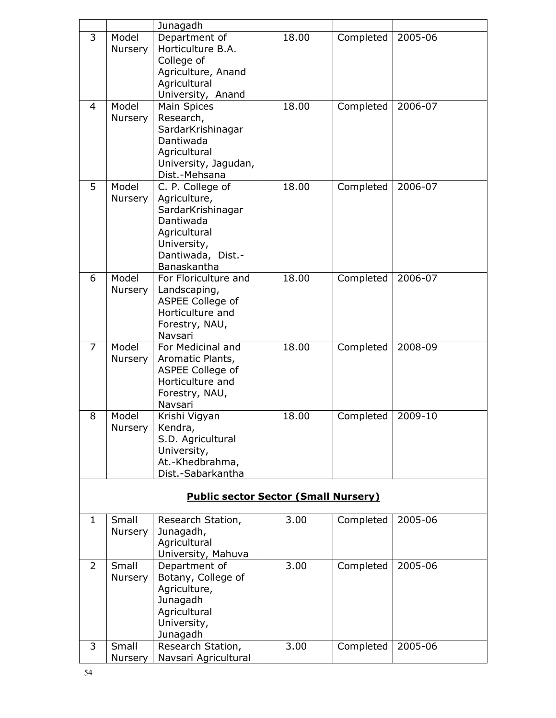|    |         | Junagadh                                    |                    |           |         |
|----|---------|---------------------------------------------|--------------------|-----------|---------|
| 3  | Model   | Department of                               | 18.00              | Completed | 2005-06 |
|    | Nursery | Horticulture B.A.                           |                    |           |         |
|    |         | College of                                  |                    |           |         |
|    |         | Agriculture, Anand                          |                    |           |         |
|    |         | Agricultural<br>University, Anand           |                    |           |         |
| 4  | Model   | <b>Main Spices</b>                          | 18.00<br>Completed |           | 2006-07 |
|    | Nursery | Research,                                   |                    |           |         |
|    |         | SardarKrishinagar                           |                    |           |         |
|    |         | Dantiwada                                   |                    |           |         |
|    |         | Agricultural                                |                    |           |         |
|    |         | University, Jagudan,                        |                    |           |         |
|    |         | Dist.-Mehsana                               |                    |           |         |
| 5  | Model   | C. P. College of                            | 18.00              | Completed | 2006-07 |
|    | Nursery | Agriculture,                                |                    |           |         |
|    |         | SardarKrishinagar                           |                    |           |         |
|    |         | Dantiwada                                   |                    |           |         |
|    |         | Agricultural<br>University,                 |                    |           |         |
|    |         | Dantiwada, Dist.-                           |                    |           |         |
|    |         | Banaskantha                                 |                    |           |         |
| 6  | Model   | For Floriculture and                        | 18.00              | Completed | 2006-07 |
|    | Nursery | Landscaping,                                |                    |           |         |
|    |         | ASPEE College of                            |                    |           |         |
|    |         | Horticulture and                            |                    |           |         |
|    |         | Forestry, NAU,                              |                    |           |         |
|    |         | Navsari                                     |                    |           |         |
| 7  | Model   | For Medicinal and                           | 18.00              | Completed | 2008-09 |
|    | Nursery | Aromatic Plants,                            |                    |           |         |
|    |         | ASPEE College of<br>Horticulture and        |                    |           |         |
|    |         | Forestry, NAU,                              |                    |           |         |
|    |         | Navsari                                     |                    |           |         |
| 8  | Model   | Krishi Vigyan                               | 18.00              | Completed | 2009-10 |
|    | Nursery | Kendra,                                     |                    |           |         |
|    |         | S.D. Agricultural                           |                    |           |         |
|    |         | University,                                 |                    |           |         |
|    |         | At.-Khedbrahma,                             |                    |           |         |
|    |         | Dist.-Sabarkantha                           |                    |           |         |
|    |         | <b>Public sector Sector (Small Nursery)</b> |                    |           |         |
|    |         |                                             |                    |           |         |
| 1. | Small   | Research Station,                           | 3.00               | Completed | 2005-06 |
|    | Nursery | Junagadh,                                   |                    |           |         |
|    |         | Agricultural                                |                    |           |         |
|    |         | University, Mahuva                          |                    |           |         |
| 2  | Small   | Department of                               | 3.00               | Completed | 2005-06 |
|    | Nursery | Botany, College of                          |                    |           |         |
|    |         | Agriculture,                                |                    |           |         |
|    |         | Junagadh<br>Agricultural                    |                    |           |         |
|    |         | University,                                 |                    |           |         |
|    |         | Junagadh                                    |                    |           |         |
| 3  | Small   | Research Station,                           | 3.00               | Completed | 2005-06 |
|    | Nursery | Navsari Agricultural                        |                    |           |         |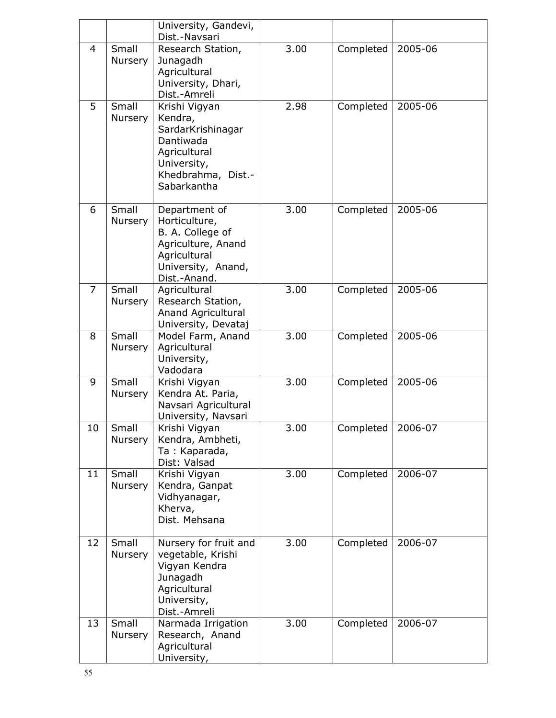|    |                  | University, Gandevi,<br>Dist.-Navsari                                                                                          |      |           |         |
|----|------------------|--------------------------------------------------------------------------------------------------------------------------------|------|-----------|---------|
| 4  | Small<br>Nursery | 3.00<br>Research Station,<br>Junagadh<br>Agricultural<br>University, Dhari,<br>Dist.-Amreli                                    |      | Completed | 2005-06 |
| 5  | Small<br>Nursery | Krishi Vigyan<br>Kendra,<br>SardarKrishinagar<br>Dantiwada<br>Agricultural<br>University,<br>Khedbrahma, Dist.-<br>Sabarkantha | 2.98 | Completed | 2005-06 |
| 6  | Small<br>Nursery | Department of<br>Horticulture,<br>B. A. College of<br>Agriculture, Anand<br>Agricultural<br>University, Anand,<br>Dist.-Anand. | 3.00 | Completed | 2005-06 |
| 7  | Small<br>Nursery | Agricultural<br>Research Station,<br><b>Anand Agricultural</b><br>University, Devataj                                          | 3.00 | Completed | 2005-06 |
| 8  | Small<br>Nursery | Model Farm, Anand<br>Agricultural<br>University,<br>Vadodara                                                                   | 3.00 | Completed | 2005-06 |
| 9  | Small<br>Nursery | Krishi Vigyan<br>Kendra At. Paria,<br>Navsari Agricultural<br>University, Navsari                                              | 3.00 | Completed | 2005-06 |
| 10 | Small<br>Nursery | Krishi Vigyan<br>Kendra, Ambheti,<br>Ta: Kaparada,<br>Dist: Valsad                                                             | 3.00 | Completed | 2006-07 |
| 11 | Small<br>Nursery | Krishi Vigyan<br>Kendra, Ganpat<br>Vidhyanagar,<br>Kherva,<br>Dist. Mehsana                                                    | 3.00 | Completed | 2006-07 |
| 12 | Small<br>Nursery | Nursery for fruit and<br>vegetable, Krishi<br>Vigyan Kendra<br>Junagadh<br>Agricultural<br>University,<br>Dist.-Amreli         | 3.00 | Completed | 2006-07 |
| 13 | Small<br>Nursery | Narmada Irrigation<br>Research, Anand<br>Agricultural<br>University,                                                           | 3.00 | Completed | 2006-07 |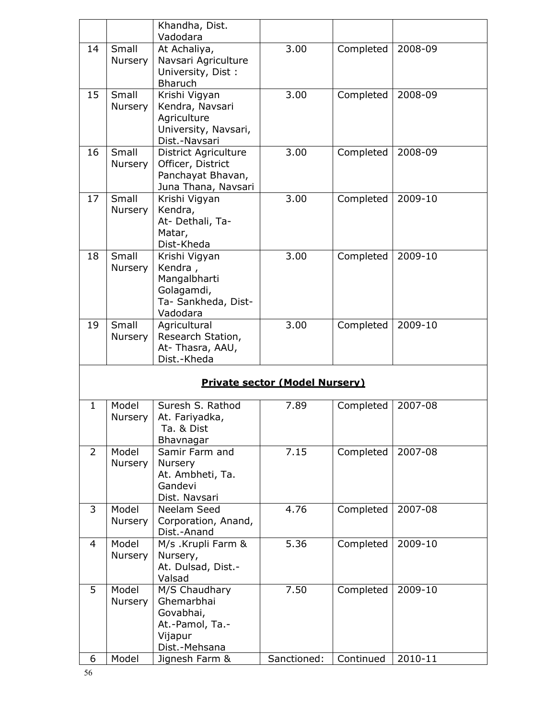|                               |                         | Khandha, Dist.<br>Vadodara                                                                   |                                       |           |         |  |
|-------------------------------|-------------------------|----------------------------------------------------------------------------------------------|---------------------------------------|-----------|---------|--|
| 14                            | Small<br>Nursery        | At Achaliya,<br>Navsari Agriculture<br>University, Dist:<br><b>Bharuch</b>                   | 3.00                                  | Completed | 2008-09 |  |
| 15                            | Small<br><b>Nursery</b> | Krishi Vigyan<br>Kendra, Navsari<br>Agriculture<br>University, Navsari,<br>Dist.-Navsari     | 3.00                                  | Completed | 2008-09 |  |
| 16                            | Small<br><b>Nursery</b> | <b>District Agriculture</b><br>Officer, District<br>Panchayat Bhavan,<br>Juna Thana, Navsari | 3.00                                  | Completed | 2008-09 |  |
| Small<br>17<br><b>Nursery</b> |                         | Krishi Vigyan<br>Kendra,<br>At- Dethali, Ta-<br>Matar,<br>Dist-Kheda                         | 3.00                                  | Completed | 2009-10 |  |
| 18                            | Small<br>Nursery        | Krishi Vigyan<br>Kendra,<br>Mangalbharti<br>Golagamdi,<br>Ta- Sankheda, Dist-<br>Vadodara    | 3.00                                  | Completed | 2009-10 |  |
| 19                            | Small<br>Nursery        | Agricultural<br>Research Station,<br>At-Thasra, AAU,<br>Dist.-Kheda                          | 3.00                                  | Completed | 2009-10 |  |
|                               |                         |                                                                                              | <b>Private sector (Model Nursery)</b> |           |         |  |
| 1                             | Model<br>Nursery        | Suresh S. Rathod<br>At. Fariyadka,<br>Ta. & Dist<br>Bhavnagar                                | 7.89                                  | Completed | 2007-08 |  |
| $\overline{2}$                | Model<br>Nursery        | Samir Farm and<br>Nursery<br>At. Ambheti, Ta.<br>Gandevi<br>Dist. Navsari                    | 7.15                                  | Completed | 2007-08 |  |
| 3                             | Model<br>Nursery        | Neelam Seed<br>Corporation, Anand,<br>Dist.-Anand                                            | 4.76                                  | Completed | 2007-08 |  |
| 4                             | Model<br>Nursery        | M/s .Krupli Farm &<br>Nursery,<br>At. Dulsad, Dist.-<br>Valsad                               | 5.36                                  | Completed | 2009-10 |  |
| 5                             | Model<br>Nursery        | M/S Chaudhary<br>Ghemarbhai<br>Govabhai,<br>At.-Pamol, Ta.-<br>Vijapur                       | 7.50                                  | Completed | 2009-10 |  |

Dist.-Mehsana

6 Model Jignesh Farm & Sanctioned: Continued 2010-11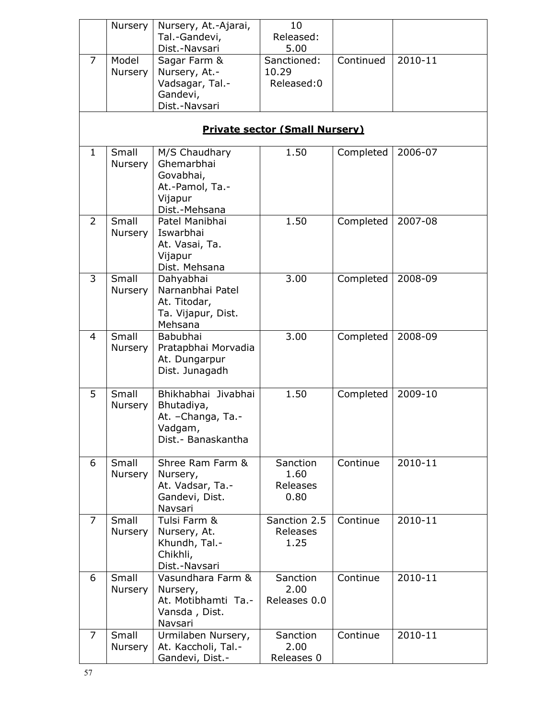|                | Nursery                                                                                            | 10<br>Nursery, At.-Ajarai,<br>Released:<br>Tal.-Gandevi,<br>Dist.-Navsari<br>5.00        |                                      |           |         |  |  |  |  |
|----------------|----------------------------------------------------------------------------------------------------|------------------------------------------------------------------------------------------|--------------------------------------|-----------|---------|--|--|--|--|
| $\overline{7}$ | Model<br>Sagar Farm &<br>Nursery, At.-<br>Nursery<br>Vadsagar, Tal.-<br>Gandevi,<br>Dist.-Navsari  |                                                                                          | Sanctioned:<br>10.29<br>Released:0   | Continued | 2010-11 |  |  |  |  |
|                | <b>Private sector (Small Nursery)</b>                                                              |                                                                                          |                                      |           |         |  |  |  |  |
| $\mathbf{1}$   | Small<br>Nursery                                                                                   | M/S Chaudhary<br>Ghemarbhai<br>Govabhai,<br>At.-Pamol, Ta.-<br>Vijapur<br>Dist.-Mehsana  | 1.50                                 | Completed | 2006-07 |  |  |  |  |
| 2              | Small<br>Patel Manibhai<br>Iswarbhai<br>Nursery<br>At. Vasai, Ta.<br>Vijapur<br>Dist. Mehsana      |                                                                                          | 1.50                                 | Completed | 2007-08 |  |  |  |  |
| 3              | Small<br>Dahyabhai<br>Narnanbhai Patel<br>Nursery<br>At. Titodar,<br>Ta. Vijapur, Dist.<br>Mehsana |                                                                                          | 3.00                                 | Completed | 2008-09 |  |  |  |  |
| 4              | Small<br>Nursery                                                                                   | Babubhai<br>Pratapbhai Morvadia<br>At. Dungarpur<br>Dist. Junagadh                       | 3.00                                 | Completed | 2008-09 |  |  |  |  |
| 5              | Small<br>Nursery                                                                                   | Bhikhabhai Jivabhai<br>Bhutadiya,<br>At. - Changa, Ta.-<br>Vadgam,<br>Dist.- Banaskantha | 1.50                                 | Completed | 2009-10 |  |  |  |  |
| 6              | Small<br>Nursery                                                                                   | Shree Ram Farm &<br>Nursery,<br>At. Vadsar, Ta.-<br>Gandevi, Dist.<br>Navsari            | Sanction<br>1.60<br>Releases<br>0.80 | Continue  | 2010-11 |  |  |  |  |
| $\overline{7}$ | Small<br>Nursery                                                                                   | Tulsi Farm &<br>Nursery, At.<br>Khundh, Tal.-<br>Chikhli,<br>Dist.-Navsari               | Sanction 2.5<br>Releases<br>1.25     | Continue  | 2010-11 |  |  |  |  |
| 6              | Small<br>Nursery                                                                                   | Vasundhara Farm &<br>Nursery,<br>At. Motibhamti Ta.-<br>Vansda, Dist.<br>Navsari         | Sanction<br>2.00<br>Releases 0.0     | Continue  | 2010-11 |  |  |  |  |
| 7              | Small<br>Nursery                                                                                   | Urmilaben Nursery,<br>At. Kaccholi, Tal.-<br>Gandevi, Dist.-                             | Sanction<br>2.00<br>Releases 0       | Continue  | 2010-11 |  |  |  |  |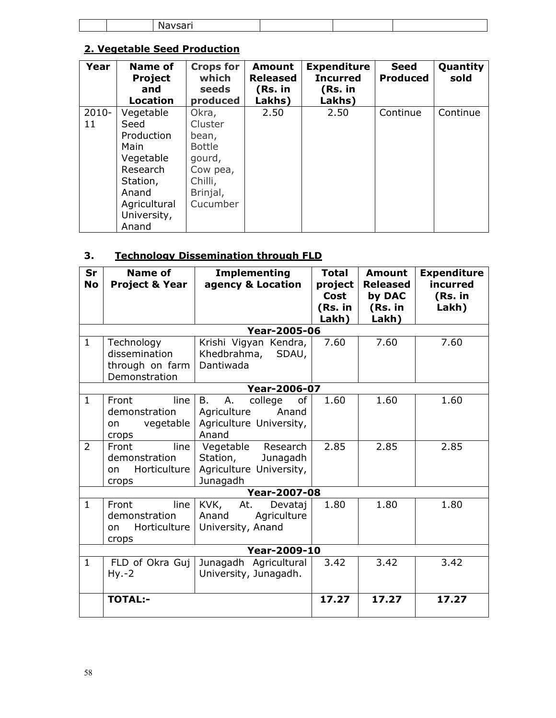# 2. Vegetable Seed Production

| Year     | Name of<br><b>Project</b><br>and<br><b>Location</b> | <b>Crops for</b><br>which<br><b>seeds</b><br>produced | Amount<br><b>Released</b><br>(Rs. in<br>Lakhs) | <b>Expenditure</b><br><b>Incurred</b><br>(Rs. in<br>Lakhs) | <b>Seed</b><br><b>Produced</b> | Quantity<br>sold |
|----------|-----------------------------------------------------|-------------------------------------------------------|------------------------------------------------|------------------------------------------------------------|--------------------------------|------------------|
| $2010 -$ | Vegetable                                           | Okra,                                                 | 2.50                                           | 2.50                                                       | Continue                       | Continue         |
| 11       | Seed                                                | Cluster                                               |                                                |                                                            |                                |                  |
|          | Production                                          | bean,                                                 |                                                |                                                            |                                |                  |
|          | Main                                                | <b>Bottle</b>                                         |                                                |                                                            |                                |                  |
|          | Vegetable                                           | gourd,                                                |                                                |                                                            |                                |                  |
|          | Research                                            | Cow pea,                                              |                                                |                                                            |                                |                  |
|          | Station,                                            | Chilli,                                               |                                                |                                                            |                                |                  |
|          | Anand                                               | Brinjal,                                              |                                                |                                                            |                                |                  |
|          | Agricultural                                        | Cucumber                                              |                                                |                                                            |                                |                  |
|          | University,                                         |                                                       |                                                |                                                            |                                |                  |
|          | Anand                                               |                                                       |                                                |                                                            |                                |                  |

# 3. Technology Dissemination through FLD

| Sr<br><b>No</b> | <b>Name of</b><br><b>Project &amp; Year</b>                     | <b>Implementing</b><br>agency & Location                                                     | <b>Total</b><br>project<br>Cost<br>(Rs. in<br>Lakh) | <b>Amount</b><br><b>Released</b><br>by DAC<br>(Rs. in<br>Lakh) | <b>Expenditure</b><br>incurred<br>(Rs. in<br>Lakh) |
|-----------------|-----------------------------------------------------------------|----------------------------------------------------------------------------------------------|-----------------------------------------------------|----------------------------------------------------------------|----------------------------------------------------|
|                 |                                                                 | <b>Year-2005-06</b>                                                                          |                                                     |                                                                |                                                    |
| $\mathbf{1}$    | Technology<br>dissemination<br>through on farm<br>Demonstration | Krishi Vigyan Kendra,<br>Khedbrahma,<br>SDAU,<br>Dantiwada                                   | 7.60                                                | 7.60                                                           | 7.60                                               |
|                 |                                                                 | <b>Year-2006-07</b>                                                                          |                                                     |                                                                |                                                    |
| $\mathbf{1}$    | Front<br>line<br>demonstration<br>vegetable<br>on<br>crops      | <b>B.</b><br>A.<br>college<br>of<br>Agriculture<br>Anand<br>Agriculture University,<br>Anand | 1.60                                                | 1.60                                                           | 1.60                                               |
| $\overline{2}$  | line<br>Front<br>demonstration<br>Horticulture<br>on<br>crops   | Vegetable Research<br>Station,<br>Junagadh<br>Agriculture University,<br>Junagadh            | 2.85                                                | 2.85                                                           | 2.85                                               |
|                 |                                                                 | <b>Year-2007-08</b>                                                                          |                                                     |                                                                |                                                    |
| $\mathbf{1}$    | Front<br>line<br>demonstration<br>Horticulture<br>on<br>crops   | KVK,<br>At.<br>Devataj<br>Anand<br>Agriculture<br>University, Anand                          | 1.80                                                | 1.80                                                           | 1.80                                               |
|                 |                                                                 | <b>Year-2009-10</b>                                                                          |                                                     |                                                                |                                                    |
| $\mathbf{1}$    | FLD of Okra Guj<br>$Hy.-2$                                      | Junagadh Agricultural<br>University, Junagadh.                                               | 3.42                                                | 3.42                                                           | 3.42                                               |
|                 | <b>TOTAL:-</b>                                                  |                                                                                              | 17.27                                               | 17.27                                                          | 17.27                                              |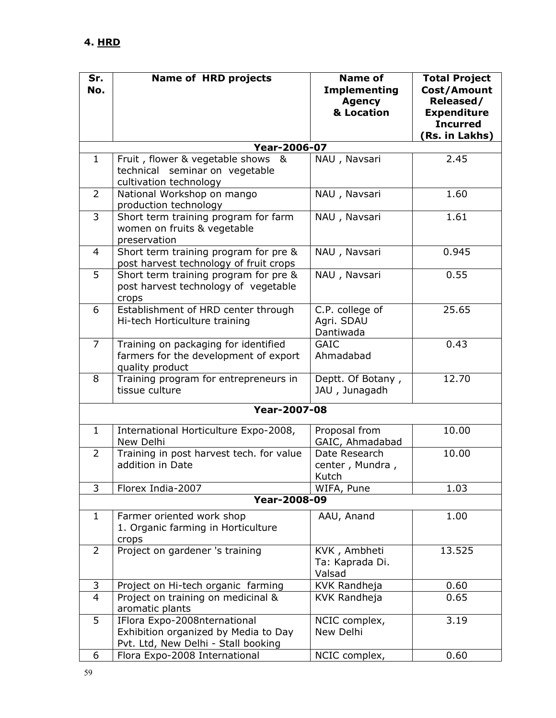| Sr.            | <b>Name of HRD projects</b>                                                                                 | <b>Name of</b>                                     | <b>Total Project</b>                                                                |
|----------------|-------------------------------------------------------------------------------------------------------------|----------------------------------------------------|-------------------------------------------------------------------------------------|
| No.            |                                                                                                             | <b>Implementing</b><br><b>Agency</b><br>& Location | Cost/Amount<br>Released/<br><b>Expenditure</b><br><b>Incurred</b><br>(Rs. in Lakhs) |
|                | <b>Year-2006-07</b>                                                                                         |                                                    |                                                                                     |
| $\mathbf{1}$   | Fruit, flower & vegetable shows &<br>technical seminar on vegetable<br>cultivation technology               | NAU, Navsari                                       | 2.45                                                                                |
| $\overline{2}$ | National Workshop on mango<br>production technology                                                         | NAU, Navsari                                       | 1.60                                                                                |
| 3              | Short term training program for farm<br>women on fruits & vegetable<br>preservation                         | NAU, Navsari                                       | 1.61                                                                                |
| 4              | Short term training program for pre &<br>post harvest technology of fruit crops                             | NAU, Navsari                                       | 0.945                                                                               |
| 5              | Short term training program for pre &<br>post harvest technology of vegetable<br>crops                      | NAU, Navsari                                       | 0.55                                                                                |
| 6              | Establishment of HRD center through<br>Hi-tech Horticulture training                                        | C.P. college of<br>Agri. SDAU<br>Dantiwada         | 25.65                                                                               |
| 7              | Training on packaging for identified<br>farmers for the development of export<br>quality product            | <b>GAIC</b><br>Ahmadabad                           | 0.43                                                                                |
| 8              | Training program for entrepreneurs in<br>tissue culture                                                     | Deptt. Of Botany,<br>JAU, Junagadh                 | 12.70                                                                               |
|                | <b>Year-2007-08</b>                                                                                         |                                                    |                                                                                     |
| $\mathbf{1}$   | International Horticulture Expo-2008,<br>New Delhi                                                          | Proposal from<br>GAIC, Ahmadabad                   | 10.00                                                                               |
| $\overline{2}$ | Training in post harvest tech. for value<br>addition in Date                                                | Date Research<br>center, Mundra,<br>Kutch          | 10.00                                                                               |
| 3              | Florex India-2007                                                                                           | WIFA, Pune                                         | 1.03                                                                                |
|                | <b>Year-2008-09</b>                                                                                         |                                                    |                                                                                     |
| $\mathbf{1}$   | Farmer oriented work shop<br>1. Organic farming in Horticulture<br>crops                                    | AAU, Anand                                         | 1.00                                                                                |
| 2              | Project on gardener 's training                                                                             | KVK, Ambheti<br>Ta: Kaprada Di.<br>Valsad          | 13.525                                                                              |
| 3              | Project on Hi-tech organic farming                                                                          | KVK Randheja                                       | 0.60                                                                                |
| 4              | Project on training on medicinal &<br>aromatic plants                                                       | KVK Randheja                                       | 0.65                                                                                |
| 5              | IFlora Expo-2008nternational<br>Exhibition organized by Media to Day<br>Pvt. Ltd, New Delhi - Stall booking | NCIC complex,<br>New Delhi                         | 3.19                                                                                |
| 6              | Flora Expo-2008 International                                                                               | NCIC complex,                                      | 0.60                                                                                |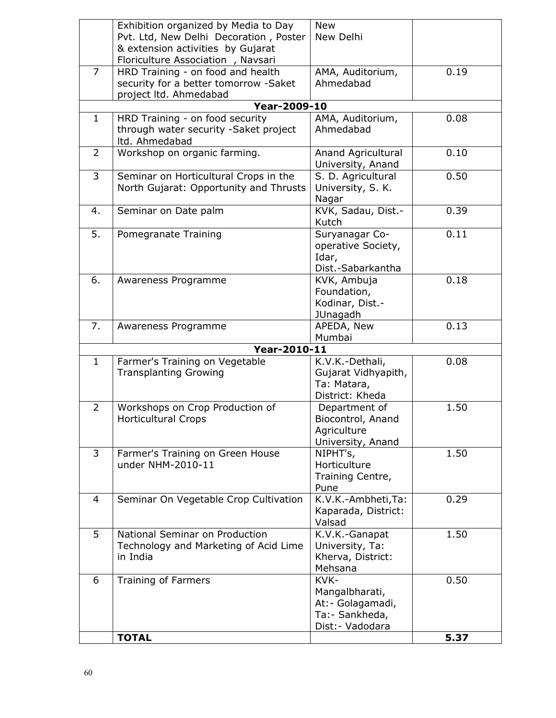|                | Exhibition organized by Media to Day   | <b>New</b>          |      |
|----------------|----------------------------------------|---------------------|------|
|                | Pvt. Ltd, New Delhi Decoration, Poster | New Delhi           |      |
|                | & extension activities by Gujarat      |                     |      |
|                |                                        |                     |      |
| $\overline{7}$ | Floriculture Association, Navsari      |                     |      |
|                | HRD Training - on food and health      | AMA, Auditorium,    | 0.19 |
|                | security for a better tomorrow -Saket  | Ahmedabad           |      |
|                | project ltd. Ahmedabad                 |                     |      |
|                | <b>Year-2009-10</b>                    |                     |      |
| $\mathbf{1}$   | HRD Training - on food security        | AMA, Auditorium,    | 0.08 |
|                | through water security -Saket project  | Ahmedabad           |      |
|                | ltd. Ahmedabad                         |                     |      |
| $\overline{2}$ | Workshop on organic farming.           | Anand Agricultural  | 0.10 |
|                |                                        | University, Anand   |      |
| 3              | Seminar on Horticultural Crops in the  | S. D. Agricultural  | 0.50 |
|                | North Gujarat: Opportunity and Thrusts | University, S. K.   |      |
|                |                                        | Nagar               |      |
| 4.             | Seminar on Date palm                   | KVK, Sadau, Dist.-  | 0.39 |
|                |                                        | Kutch               |      |
| 5.             | Pomegranate Training                   | Suryanagar Co-      | 0.11 |
|                |                                        | operative Society,  |      |
|                |                                        | Idar,               |      |
|                |                                        | Dist.-Sabarkantha   |      |
| 6.             | Awareness Programme                    | KVK, Ambuja         | 0.18 |
|                |                                        | Foundation,         |      |
|                |                                        | Kodinar, Dist.-     |      |
|                |                                        | <b>JUnagadh</b>     |      |
| 7.             | Awareness Programme                    | APEDA, New          | 0.13 |
|                |                                        | Mumbai              |      |
|                | Year-2010-11                           |                     |      |
| $\mathbf{1}$   | Farmer's Training on Vegetable         | K.V.K.-Dethali,     | 0.08 |
|                | <b>Transplanting Growing</b>           | Gujarat Vidhyapith, |      |
|                |                                        | Ta: Matara,         |      |
|                |                                        | District: Kheda     |      |
| $\overline{2}$ | Workshops on Crop Production of        | Department of       | 1.50 |
|                | <b>Horticultural Crops</b>             | Biocontrol, Anand   |      |
|                |                                        | Agriculture         |      |
|                |                                        | University, Anand   |      |
| 3              | Farmer's Training on Green House       | NIPHT's,            | 1.50 |
|                | under NHM-2010-11                      | Horticulture        |      |
|                |                                        | Training Centre,    |      |
|                |                                        | Pune                |      |
| 4              | Seminar On Vegetable Crop Cultivation  | K.V.K.-Ambheti,Ta:  | 0.29 |
|                |                                        | Kaparada, District: |      |
|                |                                        | Valsad              |      |
| 5              | National Seminar on Production         | K.V.K.-Ganapat      | 1.50 |
|                | Technology and Marketing of Acid Lime  | University, Ta:     |      |
|                | in India                               | Kherva, District:   |      |
|                |                                        | Mehsana             |      |
| 6              | Training of Farmers                    | KVK-                | 0.50 |
|                |                                        | Mangalbharati,      |      |
|                |                                        | At: - Golagamadi,   |      |
|                |                                        | Ta:- Sankheda,      |      |
|                |                                        | Dist: - Vadodara    |      |
|                | <b>TOTAL</b>                           |                     | 5.37 |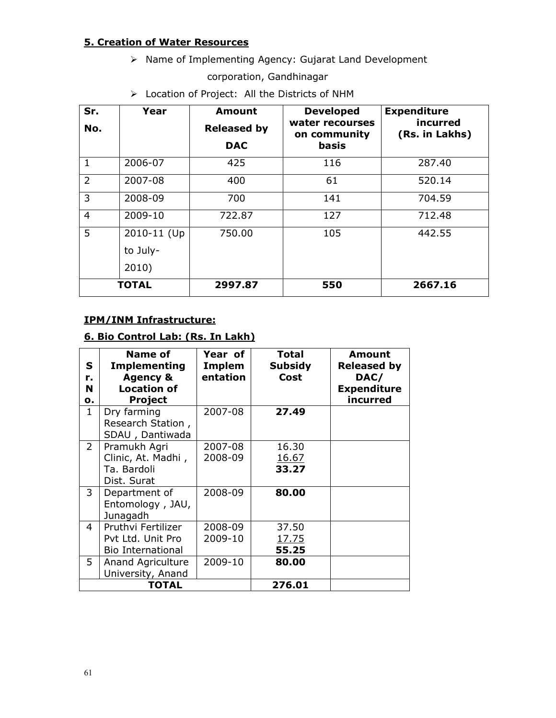# 5. Creation of Water Resources

> Name of Implementing Agency: Gujarat Land Development

corporation, Gandhinagar

> Location of Project: All the Districts of NHM

| Sr.            | Year         | <b>Amount</b>      | <b>Developed</b>                | <b>Expenditure</b>         |
|----------------|--------------|--------------------|---------------------------------|----------------------------|
| No.            |              | <b>Released by</b> | water recourses<br>on community | incurred<br>(Rs. in Lakhs) |
|                |              | <b>DAC</b>         | <b>basis</b>                    |                            |
| $\mathbf{1}$   | 2006-07      | 425                | 116                             | 287.40                     |
| $\overline{2}$ | 2007-08      | 400                | 61                              | 520.14                     |
| 3              | 2008-09      | 700                | 141                             | 704.59                     |
| $\overline{4}$ | 2009-10      | 722.87             | 127                             | 712.48                     |
| 5              | 2010-11 (Up  | 750.00             | 105                             | 442.55                     |
|                | to July-     |                    |                                 |                            |
|                | 2010)        |                    |                                 |                            |
|                | <b>TOTAL</b> | 2997.87            | 550                             | 2667.16                    |

## IPM/INM Infrastructure:

# 6. Bio Control Lab: (Rs. In Lakh)

| S<br>r.<br>N<br>о. | Name of<br><b>Implementing</b><br><b>Agency &amp;</b><br><b>Location of</b><br><b>Project</b> | Year of<br>Implem<br>entation | <b>Total</b><br><b>Subsidy</b><br>Cost | Amount<br><b>Released by</b><br>DAC/<br><b>Expenditure</b><br>incurred |
|--------------------|-----------------------------------------------------------------------------------------------|-------------------------------|----------------------------------------|------------------------------------------------------------------------|
| $\mathbf{1}$       | Dry farming<br>Research Station,<br>SDAU, Dantiwada                                           | 2007-08                       | 27.49                                  |                                                                        |
| $\overline{2}$     | Pramukh Agri<br>Clinic, At. Madhi,<br>Ta. Bardoli<br>Dist. Surat                              | 2007-08<br>2008-09            | 16.30<br>16.67<br>33.27                |                                                                        |
| 3                  | Department of<br>Entomology, JAU,<br>Junagadh                                                 | 2008-09                       | 80.00                                  |                                                                        |
| 4                  | Pruthvi Fertilizer<br>Pvt Ltd. Unit Pro<br><b>Bio International</b>                           | 2008-09<br>2009-10            | 37.50<br>17.75<br>55.25                |                                                                        |
| 5                  | <b>Anand Agriculture</b><br>University, Anand                                                 | 2009-10                       | 80.00                                  |                                                                        |
|                    | TOTAL                                                                                         |                               | 276.01                                 |                                                                        |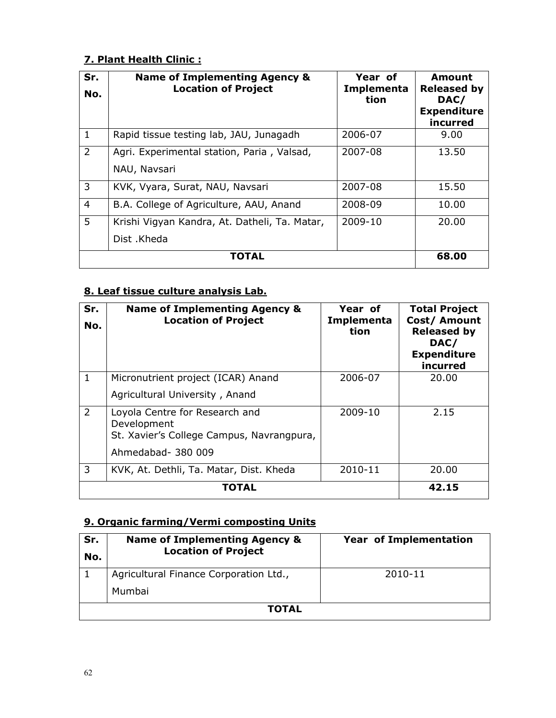# 7. Plant Health Clinic :

| Sr.<br>No.     | <b>Name of Implementing Agency &amp;</b><br><b>Location of Project</b> | Year of<br>Implementa<br>tion | Amount<br><b>Released by</b><br>DAC/<br><b>Expenditure</b><br>incurred |
|----------------|------------------------------------------------------------------------|-------------------------------|------------------------------------------------------------------------|
| $\mathbf{1}$   | Rapid tissue testing lab, JAU, Junagadh                                | 2006-07                       | 9.00                                                                   |
| $\overline{2}$ | Agri. Experimental station, Paria, Valsad,<br>NAU, Navsari             | 2007-08                       | 13.50                                                                  |
| 3              | KVK, Vyara, Surat, NAU, Navsari                                        | 2007-08                       | 15.50                                                                  |
| $\overline{4}$ | B.A. College of Agriculture, AAU, Anand                                | 2008-09                       | 10.00                                                                  |
| 5              | Krishi Vigyan Kandra, At. Datheli, Ta. Matar,<br>Dist .Kheda           | 2009-10                       | 20.00                                                                  |
|                | TOTAL                                                                  |                               | 68.00                                                                  |

# 8. Leaf tissue culture analysis Lab.

| Sr.<br>No.     | <b>Name of Implementing Agency &amp;</b><br><b>Location of Project</b>                                           | Year of<br>Implementa<br>tion | <b>Total Project</b><br>Cost/ Amount<br><b>Released by</b><br>DAC/<br><b>Expenditure</b><br>incurred |
|----------------|------------------------------------------------------------------------------------------------------------------|-------------------------------|------------------------------------------------------------------------------------------------------|
| $\mathbf{1}$   | Micronutrient project (ICAR) Anand                                                                               | 2006-07                       | 20.00                                                                                                |
|                | Agricultural University, Anand                                                                                   |                               |                                                                                                      |
| $\overline{2}$ | Loyola Centre for Research and<br>Development<br>St. Xavier's College Campus, Navrangpura,<br>Ahmedabad- 380 009 | 2009-10                       | 2.15                                                                                                 |
| 3              | KVK, At. Dethli, Ta. Matar, Dist. Kheda                                                                          | 2010-11                       | 20.00                                                                                                |
|                | TOTAL                                                                                                            |                               | 42.15                                                                                                |

# 9. Organic farming/Vermi composting Units

| Sr.<br>No. | <b>Name of Implementing Agency &amp;</b><br><b>Location of Project</b> | <b>Year of Implementation</b> |  |  |  |
|------------|------------------------------------------------------------------------|-------------------------------|--|--|--|
|            | Agricultural Finance Corporation Ltd.,                                 | 2010-11                       |  |  |  |
|            | Mumbai                                                                 |                               |  |  |  |
|            | TOTAL                                                                  |                               |  |  |  |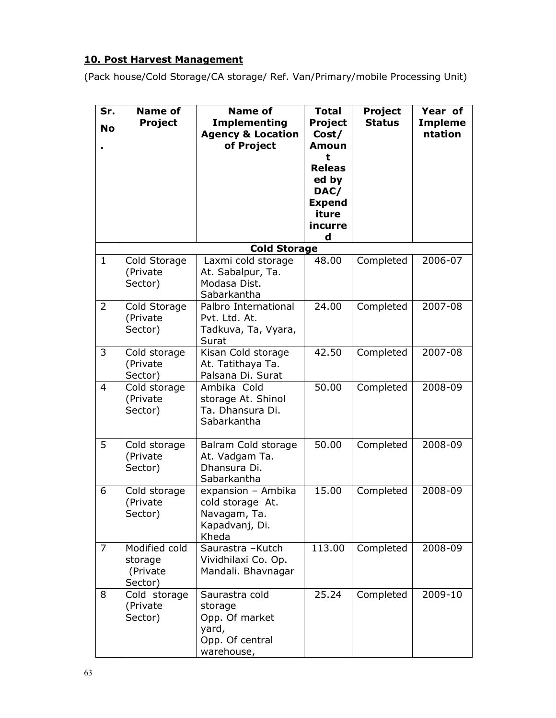# 10. Post Harvest Management

(Pack house/Cold Storage/CA storage/ Ref. Van/Primary/mobile Processing Unit)

| Sr.<br><b>No</b> | <b>Name of</b><br><b>Project</b>                | <b>Name of</b><br><b>Implementing</b><br><b>Agency &amp; Location</b><br>of Project   | <b>Total</b><br><b>Project</b><br>Cost/<br><b>Amoun</b><br>t<br><b>Releas</b><br>ed by | <b>Project</b><br><b>Status</b> | Year of<br><b>Impleme</b><br>ntation |
|------------------|-------------------------------------------------|---------------------------------------------------------------------------------------|----------------------------------------------------------------------------------------|---------------------------------|--------------------------------------|
|                  |                                                 |                                                                                       | DAC/<br><b>Expend</b><br>iture<br>incurre<br>d                                         |                                 |                                      |
|                  |                                                 | <b>Cold Storage</b>                                                                   |                                                                                        |                                 |                                      |
| $\mathbf{1}$     | Cold Storage<br>(Private<br>Sector)             | Laxmi cold storage<br>At. Sabalpur, Ta.<br>Modasa Dist.<br>Sabarkantha                | 48.00                                                                                  | Completed                       | 2006-07                              |
| $\overline{2}$   | Cold Storage<br>(Private<br>Sector)             | Palbro International<br>Pvt. Ltd. At.<br>Tadkuva, Ta, Vyara,<br>Surat                 | 24.00                                                                                  | Completed                       | 2007-08                              |
| 3                | Cold storage<br>(Private<br>Sector)             | Kisan Cold storage<br>At. Tatithaya Ta.<br>Palsana Di. Surat                          | 42.50                                                                                  | Completed                       | 2007-08                              |
| $\overline{4}$   | Cold storage<br>(Private<br>Sector)             | Ambika Cold<br>storage At. Shinol<br>Ta. Dhansura Di.<br>Sabarkantha                  | 50.00                                                                                  | Completed                       | 2008-09                              |
| 5                | Cold storage<br>(Private<br>Sector)             | Balram Cold storage<br>At. Vadgam Ta.<br>Dhansura Di.<br>Sabarkantha                  | 50.00                                                                                  | Completed                       | 2008-09                              |
| 6                | Cold storage<br>(Private<br>Sector)             | expansion - Ambika<br>cold storage At.<br>Navagam, Ta.<br>Kapadvanj, Di.<br>Kheda     | 15.00                                                                                  | Completed                       | 2008-09                              |
| 7                | Modified cold<br>storage<br>(Private<br>Sector) | Saurastra - Kutch<br>Vividhilaxi Co. Op.<br>Mandali. Bhavnagar                        | 113.00                                                                                 | Completed                       | 2008-09                              |
| 8                | Cold storage<br>(Private<br>Sector)             | Saurastra cold<br>storage<br>Opp. Of market<br>yard,<br>Opp. Of central<br>warehouse, | 25.24                                                                                  | Completed                       | 2009-10                              |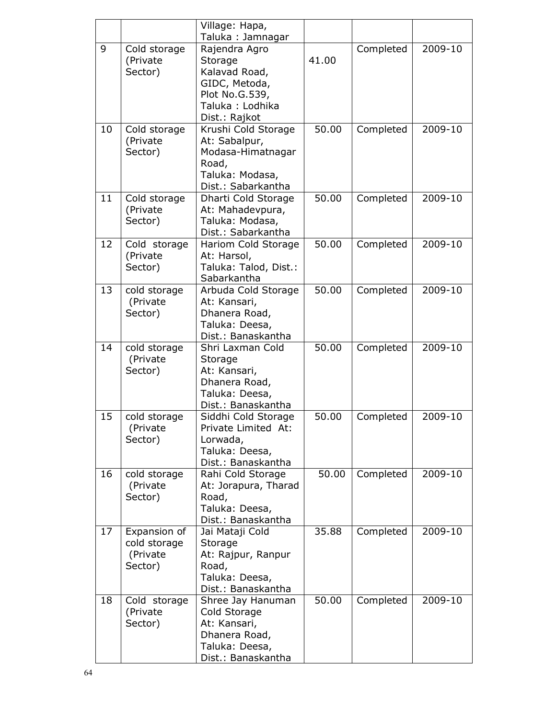|    |                                                     | Village: Hapa,<br>Taluka: Jamnagar                                                                               |       |           |         |
|----|-----------------------------------------------------|------------------------------------------------------------------------------------------------------------------|-------|-----------|---------|
| 9  | Cold storage<br>(Private<br>Sector)                 | Rajendra Agro<br>Storage<br>Kalavad Road,<br>GIDC, Metoda,<br>Plot No.G.539,<br>Taluka: Lodhika<br>Dist.: Rajkot | 41.00 | Completed | 2009-10 |
| 10 | Cold storage<br>(Private<br>Sector)                 | Krushi Cold Storage<br>At: Sabalpur,<br>Modasa-Himatnagar<br>Road,<br>Taluka: Modasa,<br>Dist.: Sabarkantha      | 50.00 | Completed | 2009-10 |
| 11 | Cold storage<br>(Private<br>Sector)                 | Dharti Cold Storage<br>At: Mahadevpura,<br>Taluka: Modasa,<br>Dist.: Sabarkantha                                 | 50.00 | Completed | 2009-10 |
| 12 | Cold storage<br>(Private<br>Sector)                 | Hariom Cold Storage<br>At: Harsol,<br>Taluka: Talod, Dist.:<br>Sabarkantha                                       | 50.00 | Completed | 2009-10 |
| 13 | cold storage<br>(Private<br>Sector)                 | Arbuda Cold Storage<br>At: Kansari,<br>Dhanera Road,<br>Taluka: Deesa,<br>Dist.: Banaskantha                     | 50.00 | Completed | 2009-10 |
| 14 | cold storage<br>(Private<br>Sector)                 | Shri Laxman Cold<br>Storage<br>At: Kansari,<br>Dhanera Road,<br>Taluka: Deesa,<br>Dist.: Banaskantha             | 50.00 | Completed | 2009-10 |
| 15 | cold storage<br>(Private)<br>Sector)                | Siddhi Cold Storage<br>Private Limited At:<br>Lorwada,<br>Taluka: Deesa,<br>Dist.: Banaskantha                   | 50.00 | Completed | 2009-10 |
| 16 | cold storage<br>(Private<br>Sector)                 | Rahi Cold Storage<br>At: Jorapura, Tharad<br>Road,<br>Taluka: Deesa,<br>Dist.: Banaskantha                       | 50.00 | Completed | 2009-10 |
| 17 | Expansion of<br>cold storage<br>(Private<br>Sector) | Jai Mataji Cold<br>Storage<br>At: Rajpur, Ranpur<br>Road,<br>Taluka: Deesa,<br>Dist.: Banaskantha                | 35.88 | Completed | 2009-10 |
| 18 | Cold storage<br>(Private<br>Sector)                 | Shree Jay Hanuman<br>Cold Storage<br>At: Kansari,<br>Dhanera Road,<br>Taluka: Deesa,<br>Dist.: Banaskantha       | 50.00 | Completed | 2009-10 |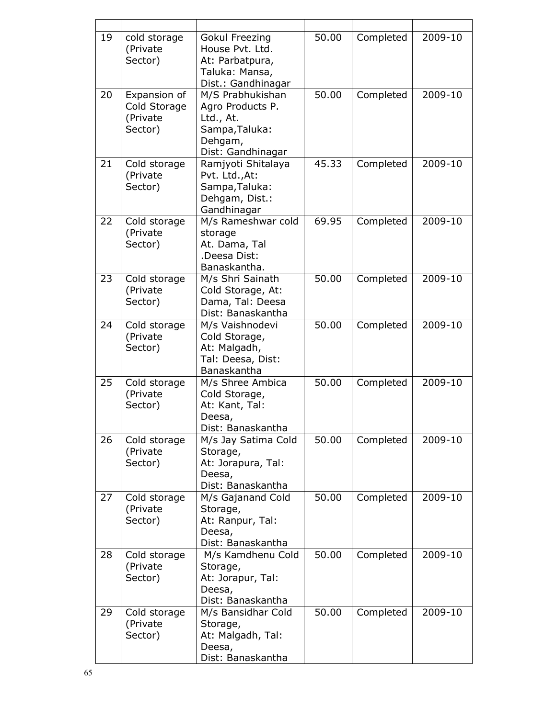| 19 | cold storage<br>(Private<br>Sector)                 | Gokul Freezing<br>House Pvt. Ltd.<br>At: Parbatpura,<br>Taluka: Mansa,<br>Dist.: Gandhinagar        | 50.00 | Completed | 2009-10 |
|----|-----------------------------------------------------|-----------------------------------------------------------------------------------------------------|-------|-----------|---------|
| 20 | Expansion of<br>Cold Storage<br>(Private<br>Sector) | M/S Prabhukishan<br>Agro Products P.<br>Ltd., At.<br>Sampa, Taluka:<br>Dehgam,<br>Dist: Gandhinagar | 50.00 | Completed | 2009-10 |
| 21 | Cold storage<br>(Private<br>Sector)                 | Ramjyoti Shitalaya<br>Pvt. Ltd., At:<br>Sampa, Taluka:<br>Dehgam, Dist.:<br>Gandhinagar             | 45.33 | Completed | 2009-10 |
| 22 | Cold storage<br>(Private<br>Sector)                 | M/s Rameshwar cold<br>storage<br>At. Dama, Tal<br>.Deesa Dist:<br>Banaskantha.                      | 69.95 | Completed | 2009-10 |
| 23 | Cold storage<br>(Private<br>Sector)                 | M/s Shri Sainath<br>Cold Storage, At:<br>Dama, Tal: Deesa<br>Dist: Banaskantha                      | 50.00 | Completed | 2009-10 |
| 24 | Cold storage<br>(Private<br>Sector)                 | M/s Vaishnodevi<br>Cold Storage,<br>At: Malgadh,<br>Tal: Deesa, Dist:<br>Banaskantha                | 50.00 | Completed | 2009-10 |
| 25 | Cold storage<br>(Private<br>Sector)                 | M/s Shree Ambica<br>Cold Storage,<br>At: Kant, Tal:<br>Deesa,<br>Dist: Banaskantha                  | 50.00 | Completed | 2009-10 |
| 26 | Cold storage<br>(Private<br>Sector)                 | M/s Jay Satima Cold<br>Storage,<br>At: Jorapura, Tal:<br>Deesa,<br>Dist: Banaskantha                | 50.00 | Completed | 2009-10 |
| 27 | Cold storage<br>(Private<br>Sector)                 | M/s Gajanand Cold<br>Storage,<br>At: Ranpur, Tal:<br>Deesa,<br>Dist: Banaskantha                    | 50.00 | Completed | 2009-10 |
| 28 | Cold storage<br>(Private<br>Sector)                 | M/s Kamdhenu Cold<br>Storage,<br>At: Jorapur, Tal:<br>Deesa,<br>Dist: Banaskantha                   | 50.00 | Completed | 2009-10 |
| 29 | Cold storage<br>(Private<br>Sector)                 | M/s Bansidhar Cold<br>Storage,<br>At: Malgadh, Tal:<br>Deesa,<br>Dist: Banaskantha                  | 50.00 | Completed | 2009-10 |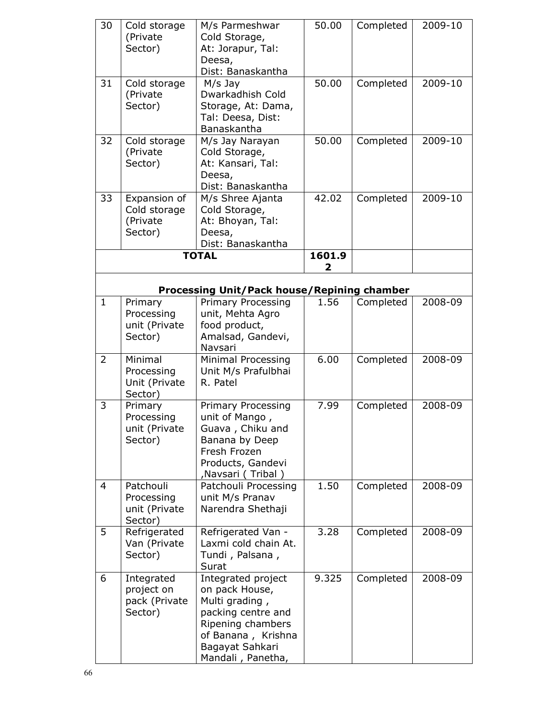| 30             | Cold storage<br>(Private<br>Sector)                  | M/s Parmeshwar<br>Cold Storage,<br>At: Jorapur, Tal:<br>Deesa,<br>Dist: Banaskantha                                                                             | 50.00  | Completed | 2009-10 |
|----------------|------------------------------------------------------|-----------------------------------------------------------------------------------------------------------------------------------------------------------------|--------|-----------|---------|
| 31             | Cold storage<br>(Private<br>Sector)                  | $M/s$ Jay<br>Dwarkadhish Cold<br>Storage, At: Dama,<br>Tal: Deesa, Dist:<br>Banaskantha                                                                         | 50.00  | Completed | 2009-10 |
| 32             | Cold storage<br>(Private<br>Sector)                  | M/s Jay Narayan<br>Cold Storage,<br>At: Kansari, Tal:<br>Deesa,<br>Dist: Banaskantha                                                                            | 50.00  | Completed | 2009-10 |
| 33             | Expansion of<br>Cold storage<br>(Private<br>Sector)  | M/s Shree Ajanta<br>Cold Storage,<br>At: Bhoyan, Tal:<br>Deesa,<br>Dist: Banaskantha                                                                            | 42.02  | Completed | 2009-10 |
|                |                                                      | <b>TOTAL</b>                                                                                                                                                    | 1601.9 |           |         |
|                |                                                      |                                                                                                                                                                 | 2      |           |         |
|                |                                                      | <b>Processing Unit/Pack house/Repining chamber</b>                                                                                                              |        |           |         |
| $\mathbf{1}$   | Primary<br>Processing<br>unit (Private<br>Sector)    | <b>Primary Processing</b><br>unit, Mehta Agro<br>food product,<br>Amalsad, Gandevi,<br>Navsari                                                                  | 1.56   | Completed | 2008-09 |
| $\overline{2}$ | Minimal<br>Processing<br>Unit (Private<br>Sector)    | Minimal Processing<br>Unit M/s Prafulbhai<br>R. Patel                                                                                                           | 6.00   | Completed | 2008-09 |
| 3              | Primary<br>Processing<br>unit (Private<br>Sector)    | <b>Primary Processing</b><br>unit of Mango,<br>Guava, Chiku and<br>Banana by Deep<br>Fresh Frozen<br>Products, Gandevi<br>, Navsari (Tribal)                    | 7.99   | Completed | 2008-09 |
| 4              | Patchouli<br>Processing<br>unit (Private<br>Sector)  | Patchouli Processing<br>unit M/s Pranav<br>Narendra Shethaji                                                                                                    | 1.50   | Completed | 2008-09 |
| 5              | Refrigerated<br>Van (Private<br>Sector)              | Refrigerated Van -<br>Laxmi cold chain At.<br>Tundi, Palsana,<br>Surat                                                                                          | 3.28   | Completed | 2008-09 |
| 6              | Integrated<br>project on<br>pack (Private<br>Sector) | Integrated project<br>on pack House,<br>Multi grading,<br>packing centre and<br>Ripening chambers<br>of Banana, Krishna<br>Bagayat Sahkari<br>Mandali, Panetha, | 9.325  | Completed | 2008-09 |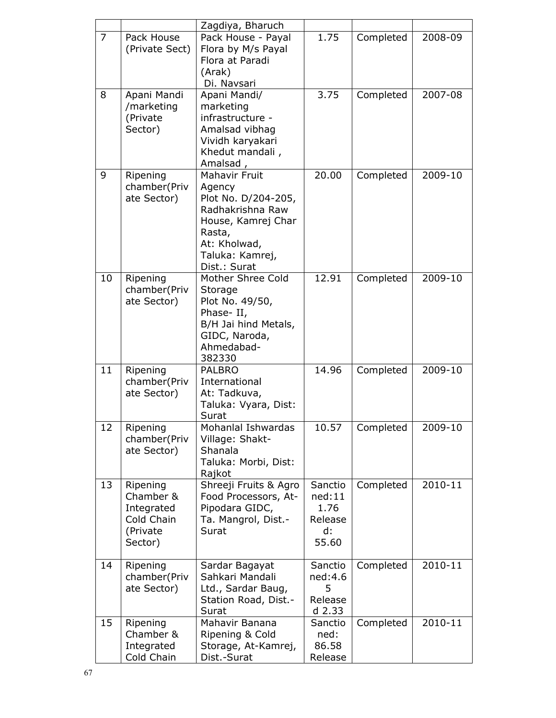|    |                                                                          | Zagdiya, Bharuch                                                                                                                                             |                                                     |           |         |
|----|--------------------------------------------------------------------------|--------------------------------------------------------------------------------------------------------------------------------------------------------------|-----------------------------------------------------|-----------|---------|
| 7  | Pack House<br>(Private Sect)                                             | Pack House - Payal<br>Flora by M/s Payal<br>Flora at Paradi<br>(Arak)<br>Di. Navsari                                                                         | 1.75                                                | Completed | 2008-09 |
| 8  | Apani Mandi<br>/marketing<br>(Private<br>Sector)                         | Apani Mandi/<br>marketing<br>infrastructure -<br>Amalsad vibhag<br>Vividh karyakari<br>Khedut mandali,<br>Amalsad,                                           | 3.75                                                | Completed | 2007-08 |
| 9  | Ripening<br>chamber(Priv<br>ate Sector)                                  | <b>Mahavir Fruit</b><br>Agency<br>Plot No. D/204-205,<br>Radhakrishna Raw<br>House, Kamrej Char<br>Rasta,<br>At: Kholwad,<br>Taluka: Kamrej,<br>Dist.: Surat | 20.00                                               | Completed | 2009-10 |
| 10 | Ripening<br>chamber(Priv<br>ate Sector)                                  | Mother Shree Cold<br>Storage<br>Plot No. 49/50,<br>Phase-II,<br>B/H Jai hind Metals,<br>GIDC, Naroda,<br>Ahmedabad-<br>382330                                | 12.91                                               | Completed | 2009-10 |
| 11 | Ripening<br>chamber(Priv<br>ate Sector)                                  | <b>PALBRO</b><br>International<br>At: Tadkuva,<br>Taluka: Vyara, Dist:<br>Surat                                                                              | 14.96                                               | Completed | 2009-10 |
| 12 | Ripening<br>chamber(Priv<br>ate Sector)                                  | Mohanlal Ishwardas<br>Village: Shakt-<br>Shanala<br>Taluka: Morbi, Dist:<br>Rajkot                                                                           | 10.57                                               | Completed | 2009-10 |
| 13 | Ripening<br>Chamber &<br>Integrated<br>Cold Chain<br>(Private<br>Sector) | Shreeji Fruits & Agro<br>Food Processors, At-<br>Pipodara GIDC,<br>Ta. Mangrol, Dist.-<br>Surat                                                              | Sanctio<br>ned:11<br>1.76<br>Release<br>d:<br>55.60 | Completed | 2010-11 |
| 14 | Ripening<br>chamber(Priv<br>ate Sector)                                  | Sardar Bagayat<br>Sahkari Mandali<br>Ltd., Sardar Baug,<br>Station Road, Dist.-<br>Surat                                                                     | Sanctio<br>ned:4.6<br>5<br>Release<br>d 2.33        | Completed | 2010-11 |
| 15 | Ripening<br>Chamber &<br>Integrated<br>Cold Chain                        | Mahavir Banana<br>Ripening & Cold<br>Storage, At-Kamrej,<br>Dist.-Surat                                                                                      | Sanctio<br>ned:<br>86.58<br>Release                 | Completed | 2010-11 |